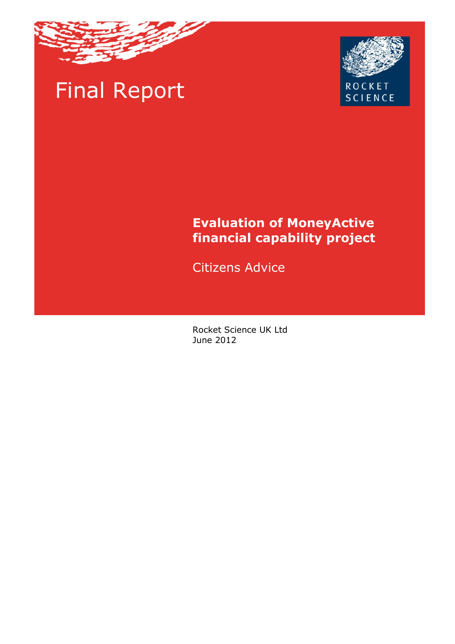

# Final Report



# **Evaluation of MoneyActive financial capability project**

Citizens Advice

Rocket Science UK Ltd June 2012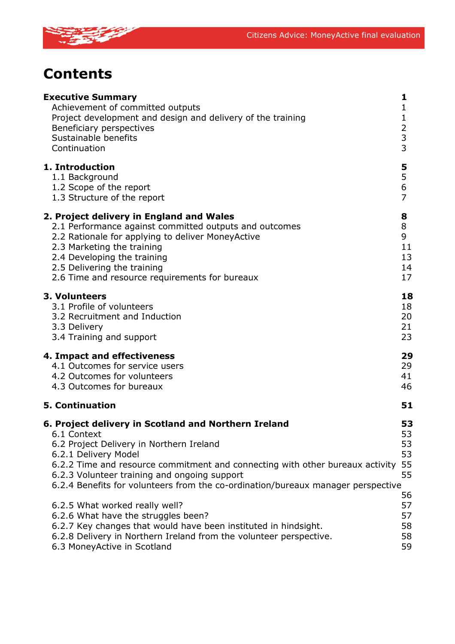

# **Contents**

| <b>Executive Summary</b><br>Achievement of committed outputs<br>Project development and design and delivery of the training<br>Beneficiary perspectives<br>Sustainable benefits<br>Continuation                                                                                                                                                              | 1<br>$\mathbf{1}$<br>$\mathbf{1}$<br>$\overline{2}$<br>3<br>3 |
|--------------------------------------------------------------------------------------------------------------------------------------------------------------------------------------------------------------------------------------------------------------------------------------------------------------------------------------------------------------|---------------------------------------------------------------|
| 1. Introduction<br>1.1 Background<br>1.2 Scope of the report<br>1.3 Structure of the report                                                                                                                                                                                                                                                                  | 5<br>5<br>6<br>$\overline{7}$                                 |
| 2. Project delivery in England and Wales<br>2.1 Performance against committed outputs and outcomes<br>2.2 Rationale for applying to deliver MoneyActive<br>2.3 Marketing the training<br>2.4 Developing the training<br>2.5 Delivering the training<br>2.6 Time and resource requirements for bureaux                                                        | 8<br>8<br>9<br>11<br>13<br>14<br>17                           |
| 3. Volunteers<br>3.1 Profile of volunteers<br>3.2 Recruitment and Induction<br>3.3 Delivery<br>3.4 Training and support                                                                                                                                                                                                                                      | 18<br>18<br>20<br>21<br>23                                    |
| <b>4. Impact and effectiveness</b><br>4.1 Outcomes for service users<br>4.2 Outcomes for volunteers<br>4.3 Outcomes for bureaux                                                                                                                                                                                                                              | 29<br>29<br>41<br>46                                          |
| <b>5. Continuation</b>                                                                                                                                                                                                                                                                                                                                       | 51                                                            |
| 6. Project delivery in Scotland and Northern Ireland<br>6.1 Context<br>6.2 Project Delivery in Northern Ireland<br>6.2.1 Delivery Model<br>6.2.2 Time and resource commitment and connecting with other bureaux activity<br>6.2.3 Volunteer training and ongoing support<br>6.2.4 Benefits for volunteers from the co-ordination/bureaux manager perspective | 53<br>53<br>53<br>53<br>55<br>55                              |
| 6.2.5 What worked really well?<br>6.2.6 What have the struggles been?<br>6.2.7 Key changes that would have been instituted in hindsight.<br>6.2.8 Delivery in Northern Ireland from the volunteer perspective.<br>6.3 MoneyActive in Scotland                                                                                                                | 56<br>57<br>57<br>58<br>58<br>59                              |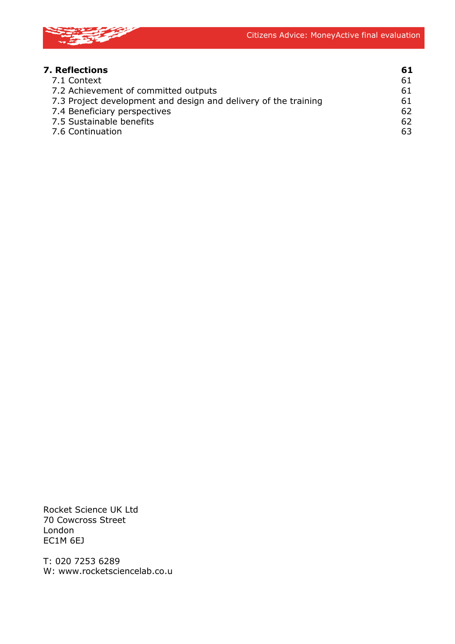

| <b>7. Reflections</b>                                           | 61 |
|-----------------------------------------------------------------|----|
| 7.1 Context                                                     | 61 |
| 7.2 Achievement of committed outputs                            | 61 |
| 7.3 Project development and design and delivery of the training | 61 |
| 7.4 Beneficiary perspectives                                    | 62 |
| 7.5 Sustainable benefits                                        | 62 |
| 7.6 Continuation                                                | 63 |

Rocket Science UK Ltd 70 Cowcross Street London EC1M 6EJ

T: 020 7253 6289 W: www.rocketsciencelab.co.u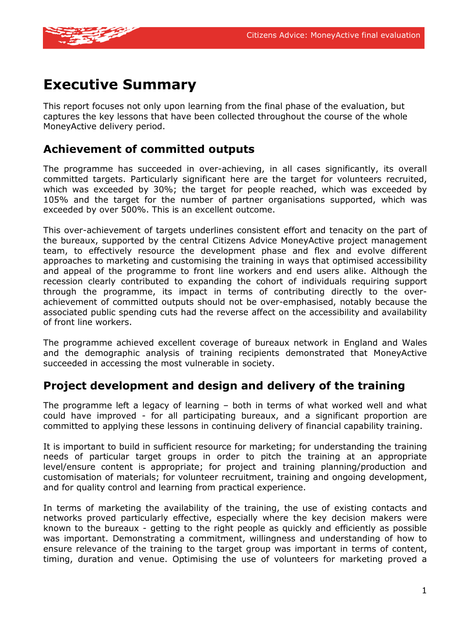

## **Executive Summary**

This report focuses not only upon learning from the final phase of the evaluation, but captures the key lessons that have been collected throughout the course of the whole MoneyActive delivery period.

### **Achievement of committed outputs**

The programme has succeeded in over-achieving, in all cases significantly, its overall committed targets. Particularly significant here are the target for volunteers recruited, which was exceeded by 30%; the target for people reached, which was exceeded by 105% and the target for the number of partner organisations supported, which was exceeded by over 500%. This is an excellent outcome.

This over-achievement of targets underlines consistent effort and tenacity on the part of the bureaux, supported by the central Citizens Advice MoneyActive project management team, to effectively resource the development phase and flex and evolve different approaches to marketing and customising the training in ways that optimised accessibility and appeal of the programme to front line workers and end users alike. Although the recession clearly contributed to expanding the cohort of individuals requiring support through the programme, its impact in terms of contributing directly to the overachievement of committed outputs should not be over-emphasised, notably because the associated public spending cuts had the reverse affect on the accessibility and availability of front line workers.

The programme achieved excellent coverage of bureaux network in England and Wales and the demographic analysis of training recipients demonstrated that MoneyActive succeeded in accessing the most vulnerable in society.

### **Project development and design and delivery of the training**

The programme left a legacy of learning – both in terms of what worked well and what could have improved - for all participating bureaux, and a significant proportion are committed to applying these lessons in continuing delivery of financial capability training.

It is important to build in sufficient resource for marketing; for understanding the training needs of particular target groups in order to pitch the training at an appropriate level/ensure content is appropriate; for project and training planning/production and customisation of materials; for volunteer recruitment, training and ongoing development, and for quality control and learning from practical experience.

In terms of marketing the availability of the training, the use of existing contacts and networks proved particularly effective, especially where the key decision makers were known to the bureaux - getting to the right people as quickly and efficiently as possible was important. Demonstrating a commitment, willingness and understanding of how to ensure relevance of the training to the target group was important in terms of content, timing, duration and venue. Optimising the use of volunteers for marketing proved a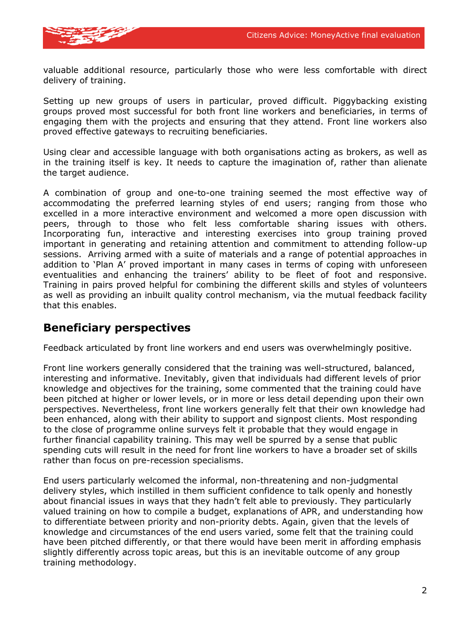

valuable additional resource, particularly those who were less comfortable with direct delivery of training.

Setting up new groups of users in particular, proved difficult. Piggybacking existing groups proved most successful for both front line workers and beneficiaries, in terms of engaging them with the projects and ensuring that they attend. Front line workers also proved effective gateways to recruiting beneficiaries.

Using clear and accessible language with both organisations acting as brokers, as well as in the training itself is key. It needs to capture the imagination of, rather than alienate the target audience.

A combination of group and one-to-one training seemed the most effective way of accommodating the preferred learning styles of end users; ranging from those who excelled in a more interactive environment and welcomed a more open discussion with peers, through to those who felt less comfortable sharing issues with others. Incorporating fun, interactive and interesting exercises into group training proved important in generating and retaining attention and commitment to attending follow-up sessions. Arriving armed with a suite of materials and a range of potential approaches in addition to 'Plan A' proved important in many cases in terms of coping with unforeseen eventualities and enhancing the trainers' ability to be fleet of foot and responsive. Training in pairs proved helpful for combining the different skills and styles of volunteers as well as providing an inbuilt quality control mechanism, via the mutual feedback facility that this enables.

### **Beneficiary perspectives**

Feedback articulated by front line workers and end users was overwhelmingly positive.

Front line workers generally considered that the training was well-structured, balanced, interesting and informative. Inevitably, given that individuals had different levels of prior knowledge and objectives for the training, some commented that the training could have been pitched at higher or lower levels, or in more or less detail depending upon their own perspectives. Nevertheless, front line workers generally felt that their own knowledge had been enhanced, along with their ability to support and signpost clients. Most responding to the close of programme online surveys felt it probable that they would engage in further financial capability training. This may well be spurred by a sense that public spending cuts will result in the need for front line workers to have a broader set of skills rather than focus on pre-recession specialisms.

End users particularly welcomed the informal, non-threatening and non-judgmental delivery styles, which instilled in them sufficient confidence to talk openly and honestly about financial issues in ways that they hadn't felt able to previously. They particularly valued training on how to compile a budget, explanations of APR, and understanding how to differentiate between priority and non-priority debts. Again, given that the levels of knowledge and circumstances of the end users varied, some felt that the training could have been pitched differently, or that there would have been merit in affording emphasis slightly differently across topic areas, but this is an inevitable outcome of any group training methodology.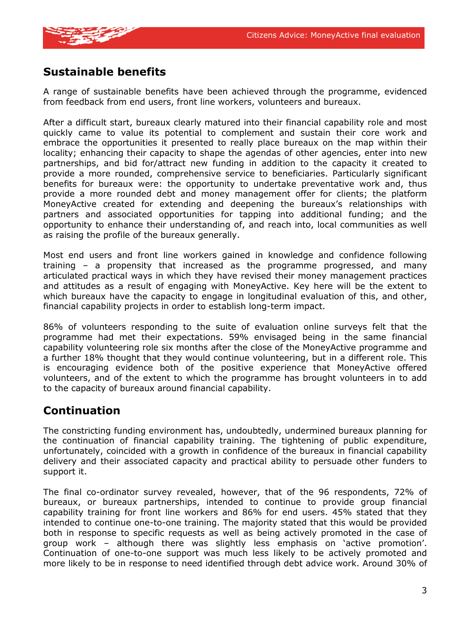

### **Sustainable benefits**

A range of sustainable benefits have been achieved through the programme, evidenced from feedback from end users, front line workers, volunteers and bureaux.

After a difficult start, bureaux clearly matured into their financial capability role and most quickly came to value its potential to complement and sustain their core work and embrace the opportunities it presented to really place bureaux on the map within their locality; enhancing their capacity to shape the agendas of other agencies, enter into new partnerships, and bid for/attract new funding in addition to the capacity it created to provide a more rounded, comprehensive service to beneficiaries. Particularly significant benefits for bureaux were: the opportunity to undertake preventative work and, thus provide a more rounded debt and money management offer for clients; the platform MoneyActive created for extending and deepening the bureaux's relationships with partners and associated opportunities for tapping into additional funding; and the opportunity to enhance their understanding of, and reach into, local communities as well as raising the profile of the bureaux generally.

Most end users and front line workers gained in knowledge and confidence following training – a propensity that increased as the programme progressed, and many articulated practical ways in which they have revised their money management practices and attitudes as a result of engaging with MoneyActive. Key here will be the extent to which bureaux have the capacity to engage in longitudinal evaluation of this, and other, financial capability projects in order to establish long-term impact.

86% of volunteers responding to the suite of evaluation online surveys felt that the programme had met their expectations. 59% envisaged being in the same financial capability volunteering role six months after the close of the MoneyActive programme and a further 18% thought that they would continue volunteering, but in a different role. This is encouraging evidence both of the positive experience that MoneyActive offered volunteers, and of the extent to which the programme has brought volunteers in to add to the capacity of bureaux around financial capability.

### **Continuation**

The constricting funding environment has, undoubtedly, undermined bureaux planning for the continuation of financial capability training. The tightening of public expenditure, unfortunately, coincided with a growth in confidence of the bureaux in financial capability delivery and their associated capacity and practical ability to persuade other funders to support it.

The final co-ordinator survey revealed, however, that of the 96 respondents, 72% of bureaux, or bureaux partnerships, intended to continue to provide group financial capability training for front line workers and 86% for end users. 45% stated that they intended to continue one-to-one training. The majority stated that this would be provided both in response to specific requests as well as being actively promoted in the case of group work – although there was slightly less emphasis on 'active promotion'. Continuation of one-to-one support was much less likely to be actively promoted and more likely to be in response to need identified through debt advice work. Around 30% of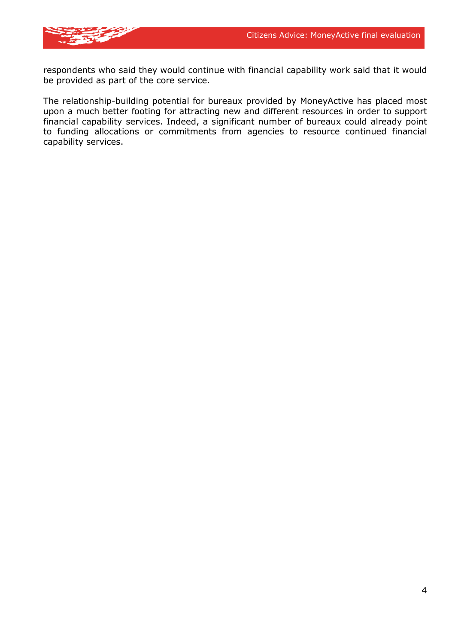

respondents who said they would continue with financial capability work said that it would be provided as part of the core service.

The relationship-building potential for bureaux provided by MoneyActive has placed most upon a much better footing for attracting new and different resources in order to support financial capability services. Indeed, a significant number of bureaux could already point to funding allocations or commitments from agencies to resource continued financial capability services.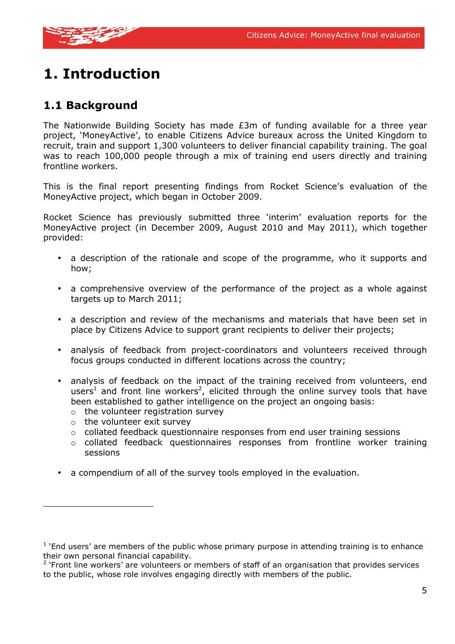

# **1. Introduction**

### **1.1 Background**

The Nationwide Building Society has made £3m of funding available for a three year project, 'MoneyActive', to enable Citizens Advice bureaux across the United Kingdom to recruit, train and support 1,300 volunteers to deliver financial capability training. The goal was to reach 100,000 people through a mix of training end users directly and training frontline workers.

This is the final report presenting findings from Rocket Science's evaluation of the MoneyActive project, which began in October 2009.

Rocket Science has previously submitted three 'interim' evaluation reports for the MoneyActive project (in December 2009, August 2010 and May 2011), which together provided:

- a description of the rationale and scope of the programme, who it supports and how;
- a comprehensive overview of the performance of the project as a whole against targets up to March 2011;
- a description and review of the mechanisms and materials that have been set in place by Citizens Advice to support grant recipients to deliver their projects;
- analysis of feedback from project-coordinators and volunteers received through focus groups conducted in different locations across the country;
- analysis of feedback on the impact of the training received from volunteers, end users<sup>1</sup> and front line workers<sup>2</sup>, elicited through the online survey tools that have been established to gather intelligence on the project an ongoing basis:
	- $\circ$  the volunteer registration survey
	- o the volunteer exit survey
	- o collated feedback questionnaire responses from end user training sessions
	- $\circ$  collated feedback questionnaires responses from frontline worker training sessions
- a compendium of all of the survey tools employed in the evaluation.

 $1$  'End users' are members of the public whose primary purpose in attending training is to enhance their own personal financial capability.

 $2$  'Front line workers' are volunteers or members of staff of an organisation that provides services to the public, whose role involves engaging directly with members of the public.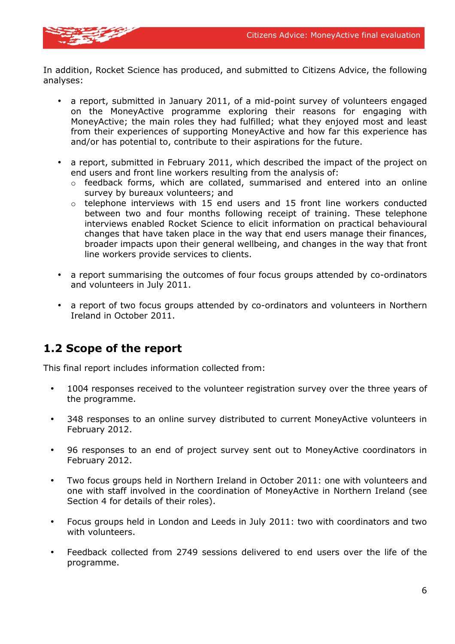

In addition, Rocket Science has produced, and submitted to Citizens Advice, the following analyses:

- a report, submitted in January 2011, of a mid-point survey of volunteers engaged on the MoneyActive programme exploring their reasons for engaging with MoneyActive; the main roles they had fulfilled; what they enjoyed most and least from their experiences of supporting MoneyActive and how far this experience has and/or has potential to, contribute to their aspirations for the future.
- a report, submitted in February 2011, which described the impact of the project on end users and front line workers resulting from the analysis of:
	- $\circ$  feedback forms, which are collated, summarised and entered into an online survey by bureaux volunteers; and
	- o telephone interviews with 15 end users and 15 front line workers conducted between two and four months following receipt of training. These telephone interviews enabled Rocket Science to elicit information on practical behavioural changes that have taken place in the way that end users manage their finances, broader impacts upon their general wellbeing, and changes in the way that front line workers provide services to clients.
- a report summarising the outcomes of four focus groups attended by co-ordinators and volunteers in July 2011.
- a report of two focus groups attended by co-ordinators and volunteers in Northern Ireland in October 2011.

### **1.2 Scope of the report**

This final report includes information collected from:

- 1004 responses received to the volunteer registration survey over the three years of the programme.
- 348 responses to an online survey distributed to current MoneyActive volunteers in February 2012.
- 96 responses to an end of project survey sent out to MoneyActive coordinators in February 2012.
- Two focus groups held in Northern Ireland in October 2011: one with volunteers and one with staff involved in the coordination of MoneyActive in Northern Ireland (see Section 4 for details of their roles).
- Focus groups held in London and Leeds in July 2011: two with coordinators and two with volunteers.
- Feedback collected from 2749 sessions delivered to end users over the life of the programme.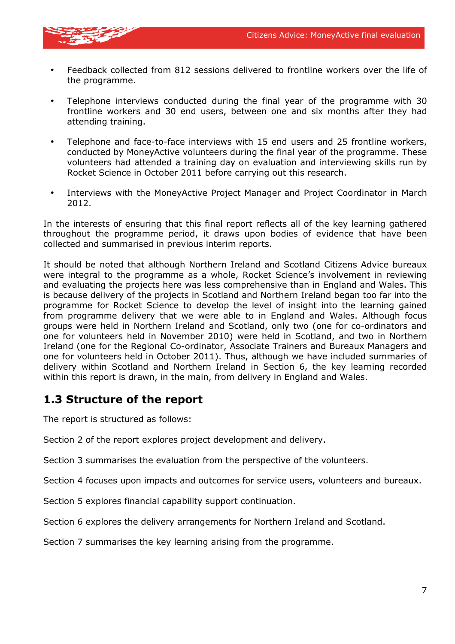

- Feedback collected from 812 sessions delivered to frontline workers over the life of the programme.
- Telephone interviews conducted during the final year of the programme with 30 frontline workers and 30 end users, between one and six months after they had attending training.
- Telephone and face-to-face interviews with 15 end users and 25 frontline workers, conducted by MoneyActive volunteers during the final year of the programme. These volunteers had attended a training day on evaluation and interviewing skills run by Rocket Science in October 2011 before carrying out this research.
- Interviews with the MoneyActive Project Manager and Project Coordinator in March 2012.

In the interests of ensuring that this final report reflects all of the key learning gathered throughout the programme period, it draws upon bodies of evidence that have been collected and summarised in previous interim reports.

It should be noted that although Northern Ireland and Scotland Citizens Advice bureaux were integral to the programme as a whole, Rocket Science's involvement in reviewing and evaluating the projects here was less comprehensive than in England and Wales. This is because delivery of the projects in Scotland and Northern Ireland began too far into the programme for Rocket Science to develop the level of insight into the learning gained from programme delivery that we were able to in England and Wales. Although focus groups were held in Northern Ireland and Scotland, only two (one for co-ordinators and one for volunteers held in November 2010) were held in Scotland, and two in Northern Ireland (one for the Regional Co-ordinator, Associate Trainers and Bureaux Managers and one for volunteers held in October 2011). Thus, although we have included summaries of delivery within Scotland and Northern Ireland in Section 6, the key learning recorded within this report is drawn, in the main, from delivery in England and Wales.

### **1.3 Structure of the report**

The report is structured as follows:

Section 2 of the report explores project development and delivery.

Section 3 summarises the evaluation from the perspective of the volunteers.

Section 4 focuses upon impacts and outcomes for service users, volunteers and bureaux.

Section 5 explores financial capability support continuation.

Section 6 explores the delivery arrangements for Northern Ireland and Scotland.

Section 7 summarises the key learning arising from the programme.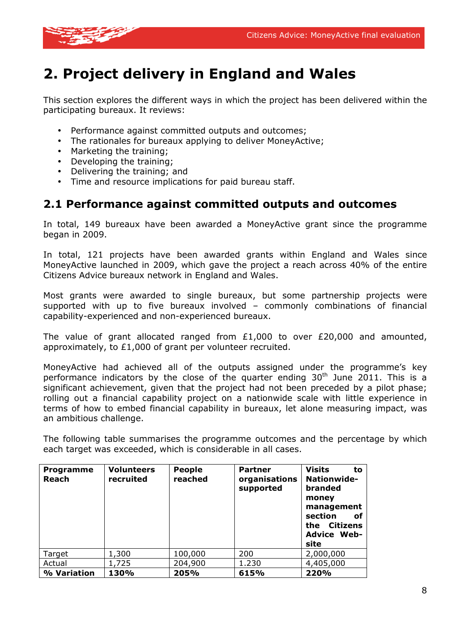

# **2. Project delivery in England and Wales**

This section explores the different ways in which the project has been delivered within the participating bureaux. It reviews:

- Performance against committed outputs and outcomes:
- The rationales for bureaux applying to deliver MoneyActive;
- Marketing the training;
- Developing the training;
- Delivering the training; and
- Time and resource implications for paid bureau staff.

### **2.1 Performance against committed outputs and outcomes**

In total, 149 bureaux have been awarded a MoneyActive grant since the programme began in 2009.

In total, 121 projects have been awarded grants within England and Wales since MoneyActive launched in 2009, which gave the project a reach across 40% of the entire Citizens Advice bureaux network in England and Wales.

Most grants were awarded to single bureaux, but some partnership projects were supported with up to five bureaux involved – commonly combinations of financial capability-experienced and non-experienced bureaux.

The value of grant allocated ranged from £1,000 to over £20,000 and amounted, approximately, to £1,000 of grant per volunteer recruited.

MoneyActive had achieved all of the outputs assigned under the programme's key performance indicators by the close of the quarter ending  $30<sup>th</sup>$  June 2011. This is a significant achievement, given that the project had not been preceded by a pilot phase; rolling out a financial capability project on a nationwide scale with little experience in terms of how to embed financial capability in bureaux, let alone measuring impact, was an ambitious challenge.

The following table summarises the programme outcomes and the percentage by which each target was exceeded, which is considerable in all cases.

| <b>Programme</b><br><b>Reach</b> | <b>Volunteers</b><br>recruited | <b>People</b><br>reached | <b>Partner</b><br>organisations<br>supported | <b>Visits</b><br>to<br><b>Nationwide-</b><br>branded<br>money<br>management<br>section<br>оf<br>Citizens<br>the <b>the</b><br><b>Advice Web-</b><br>site |
|----------------------------------|--------------------------------|--------------------------|----------------------------------------------|----------------------------------------------------------------------------------------------------------------------------------------------------------|
| Target                           | 1,300                          | 100,000                  | 200                                          | 2,000,000                                                                                                                                                |
| Actual                           | 1,725                          | 204,900                  | 1.230                                        | 4,405,000                                                                                                                                                |
| % Variation                      | 130%                           | 205%                     | 615%                                         | 220%                                                                                                                                                     |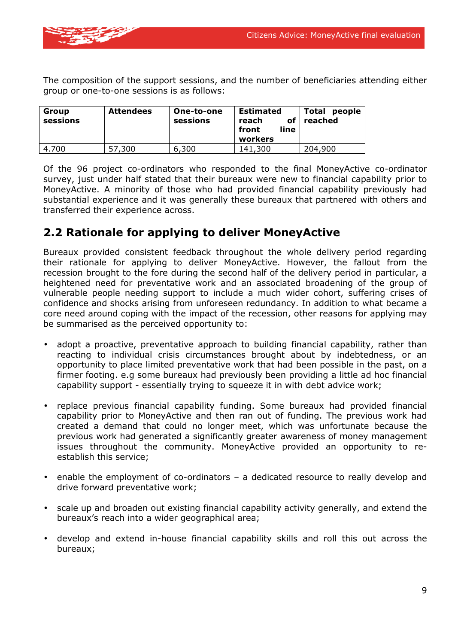

The composition of the support sessions, and the number of beneficiaries attending either group or one-to-one sessions is as follows:

| Group<br>sessions | <b>Attendees</b> | One-to-one<br>sessions | <b>Estimated</b><br>of<br>reach<br>line<br>front<br>workers | Total<br>people<br>reached |
|-------------------|------------------|------------------------|-------------------------------------------------------------|----------------------------|
| 4.700             | .300<br>57       | 6,300                  | 141,300                                                     | 204,900                    |

Of the 96 project co-ordinators who responded to the final MoneyActive co-ordinator survey, just under half stated that their bureaux were new to financial capability prior to MoneyActive. A minority of those who had provided financial capability previously had substantial experience and it was generally these bureaux that partnered with others and transferred their experience across.

### **2.2 Rationale for applying to deliver MoneyActive**

Bureaux provided consistent feedback throughout the whole delivery period regarding their rationale for applying to deliver MoneyActive. However, the fallout from the recession brought to the fore during the second half of the delivery period in particular, a heightened need for preventative work and an associated broadening of the group of vulnerable people needing support to include a much wider cohort, suffering crises of confidence and shocks arising from unforeseen redundancy. In addition to what became a core need around coping with the impact of the recession, other reasons for applying may be summarised as the perceived opportunity to:

- adopt a proactive, preventative approach to building financial capability, rather than reacting to individual crisis circumstances brought about by indebtedness, or an opportunity to place limited preventative work that had been possible in the past, on a firmer footing. e.g some bureaux had previously been providing a little ad hoc financial capability support - essentially trying to squeeze it in with debt advice work;
- replace previous financial capability funding. Some bureaux had provided financial capability prior to MoneyActive and then ran out of funding. The previous work had created a demand that could no longer meet, which was unfortunate because the previous work had generated a significantly greater awareness of money management issues throughout the community. MoneyActive provided an opportunity to reestablish this service;
- enable the employment of co-ordinators a dedicated resource to really develop and drive forward preventative work;
- scale up and broaden out existing financial capability activity generally, and extend the bureaux's reach into a wider geographical area;
- develop and extend in-house financial capability skills and roll this out across the bureaux;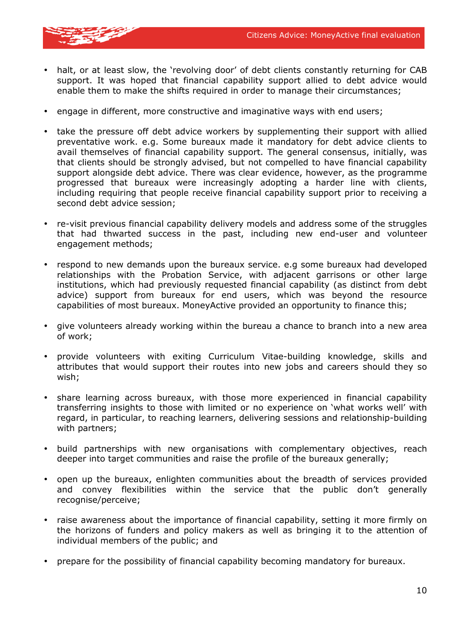

- halt, or at least slow, the 'revolving door' of debt clients constantly returning for CAB support. It was hoped that financial capability support allied to debt advice would enable them to make the shifts required in order to manage their circumstances;
- engage in different, more constructive and imaginative ways with end users;
- take the pressure off debt advice workers by supplementing their support with allied preventative work. e.g. Some bureaux made it mandatory for debt advice clients to avail themselves of financial capability support. The general consensus, initially, was that clients should be strongly advised, but not compelled to have financial capability support alongside debt advice. There was clear evidence, however, as the programme progressed that bureaux were increasingly adopting a harder line with clients, including requiring that people receive financial capability support prior to receiving a second debt advice session;
- re-visit previous financial capability delivery models and address some of the struggles that had thwarted success in the past, including new end-user and volunteer engagement methods;
- respond to new demands upon the bureaux service. e.g some bureaux had developed relationships with the Probation Service, with adjacent garrisons or other large institutions, which had previously requested financial capability (as distinct from debt advice) support from bureaux for end users, which was beyond the resource capabilities of most bureaux. MoneyActive provided an opportunity to finance this;
- give volunteers already working within the bureau a chance to branch into a new area of work;
- provide volunteers with exiting Curriculum Vitae-building knowledge, skills and attributes that would support their routes into new jobs and careers should they so wish;
- share learning across bureaux, with those more experienced in financial capability transferring insights to those with limited or no experience on 'what works well' with regard, in particular, to reaching learners, delivering sessions and relationship-building with partners;
- build partnerships with new organisations with complementary objectives, reach deeper into target communities and raise the profile of the bureaux generally;
- open up the bureaux, enlighten communities about the breadth of services provided and convey flexibilities within the service that the public don't generally recognise/perceive;
- raise awareness about the importance of financial capability, setting it more firmly on the horizons of funders and policy makers as well as bringing it to the attention of individual members of the public; and
- prepare for the possibility of financial capability becoming mandatory for bureaux.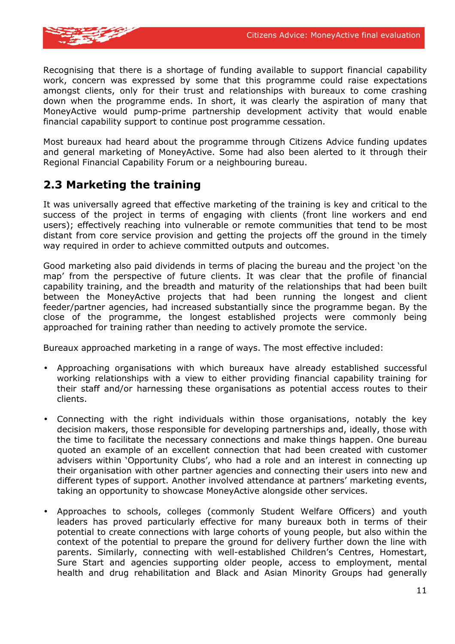

Recognising that there is a shortage of funding available to support financial capability work, concern was expressed by some that this programme could raise expectations amongst clients, only for their trust and relationships with bureaux to come crashing down when the programme ends. In short, it was clearly the aspiration of many that MoneyActive would pump-prime partnership development activity that would enable financial capability support to continue post programme cessation.

Most bureaux had heard about the programme through Citizens Advice funding updates and general marketing of MoneyActive. Some had also been alerted to it through their Regional Financial Capability Forum or a neighbouring bureau.

### **2.3 Marketing the training**

It was universally agreed that effective marketing of the training is key and critical to the success of the project in terms of engaging with clients (front line workers and end users); effectively reaching into vulnerable or remote communities that tend to be most distant from core service provision and getting the projects off the ground in the timely way required in order to achieve committed outputs and outcomes.

Good marketing also paid dividends in terms of placing the bureau and the project 'on the map' from the perspective of future clients. It was clear that the profile of financial capability training, and the breadth and maturity of the relationships that had been built between the MoneyActive projects that had been running the longest and client feeder/partner agencies, had increased substantially since the programme began. By the close of the programme, the longest established projects were commonly being approached for training rather than needing to actively promote the service.

Bureaux approached marketing in a range of ways. The most effective included:

- Approaching organisations with which bureaux have already established successful working relationships with a view to either providing financial capability training for their staff and/or harnessing these organisations as potential access routes to their clients.
- Connecting with the right individuals within those organisations, notably the key decision makers, those responsible for developing partnerships and, ideally, those with the time to facilitate the necessary connections and make things happen. One bureau quoted an example of an excellent connection that had been created with customer advisers within 'Opportunity Clubs', who had a role and an interest in connecting up their organisation with other partner agencies and connecting their users into new and different types of support. Another involved attendance at partners' marketing events, taking an opportunity to showcase MoneyActive alongside other services.
- Approaches to schools, colleges (commonly Student Welfare Officers) and youth leaders has proved particularly effective for many bureaux both in terms of their potential to create connections with large cohorts of young people, but also within the context of the potential to prepare the ground for delivery further down the line with parents. Similarly, connecting with well-established Children's Centres, Homestart, Sure Start and agencies supporting older people, access to employment, mental health and drug rehabilitation and Black and Asian Minority Groups had generally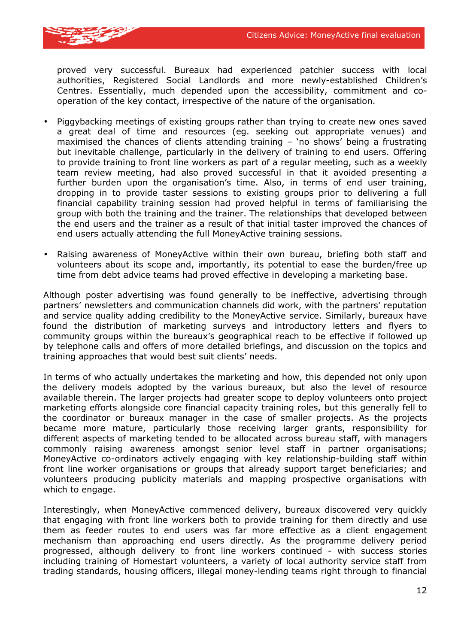

proved very successful. Bureaux had experienced patchier success with local authorities, Registered Social Landlords and more newly-established Children's Centres. Essentially, much depended upon the accessibility, commitment and cooperation of the key contact, irrespective of the nature of the organisation.

- Piggybacking meetings of existing groups rather than trying to create new ones saved a great deal of time and resources (eg. seeking out appropriate venues) and maximised the chances of clients attending training – 'no shows' being a frustrating but inevitable challenge, particularly in the delivery of training to end users. Offering to provide training to front line workers as part of a regular meeting, such as a weekly team review meeting, had also proved successful in that it avoided presenting a further burden upon the organisation's time. Also, in terms of end user training, dropping in to provide taster sessions to existing groups prior to delivering a full financial capability training session had proved helpful in terms of familiarising the group with both the training and the trainer. The relationships that developed between the end users and the trainer as a result of that initial taster improved the chances of end users actually attending the full MoneyActive training sessions.
- Raising awareness of MoneyActive within their own bureau, briefing both staff and volunteers about its scope and, importantly, its potential to ease the burden/free up time from debt advice teams had proved effective in developing a marketing base.

Although poster advertising was found generally to be ineffective, advertising through partners' newsletters and communication channels did work, with the partners' reputation and service quality adding credibility to the MoneyActive service. Similarly, bureaux have found the distribution of marketing surveys and introductory letters and flyers to community groups within the bureaux's geographical reach to be effective if followed up by telephone calls and offers of more detailed briefings, and discussion on the topics and training approaches that would best suit clients' needs.

In terms of who actually undertakes the marketing and how, this depended not only upon the delivery models adopted by the various bureaux, but also the level of resource available therein. The larger projects had greater scope to deploy volunteers onto project marketing efforts alongside core financial capacity training roles, but this generally fell to the coordinator or bureaux manager in the case of smaller projects. As the projects became more mature, particularly those receiving larger grants, responsibility for different aspects of marketing tended to be allocated across bureau staff, with managers commonly raising awareness amongst senior level staff in partner organisations; MoneyActive co-ordinators actively engaging with key relationship-building staff within front line worker organisations or groups that already support target beneficiaries; and volunteers producing publicity materials and mapping prospective organisations with which to engage.

Interestingly, when MoneyActive commenced delivery, bureaux discovered very quickly that engaging with front line workers both to provide training for them directly and use them as feeder routes to end users was far more effective as a client engagement mechanism than approaching end users directly. As the programme delivery period progressed, although delivery to front line workers continued - with success stories including training of Homestart volunteers, a variety of local authority service staff from trading standards, housing officers, illegal money-lending teams right through to financial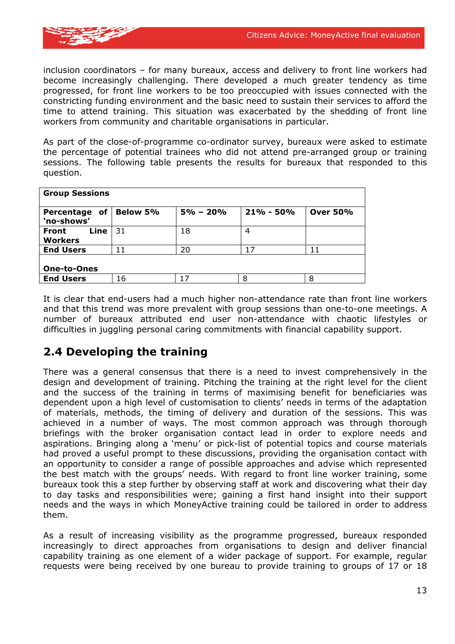

inclusion coordinators – for many bureaux, access and delivery to front line workers had become increasingly challenging. There developed a much greater tendency as time progressed, for front line workers to be too preoccupied with issues connected with the constricting funding environment and the basic need to sustain their services to afford the time to attend training. This situation was exacerbated by the shedding of front line workers from community and charitable organisations in particular.

As part of the close-of-programme co-ordinator survey, bureaux were asked to estimate the percentage of potential trainees who did not attend pre-arranged group or training sessions. The following table presents the results for bureaux that responded to this question.

| <b>Group Sessions</b>           |                 |              |               |                 |  |
|---------------------------------|-----------------|--------------|---------------|-----------------|--|
| of<br>Percentage<br>'no-shows'  | <b>Below 5%</b> | $5\% - 20\%$ | $21\% - 50\%$ | <b>Over 50%</b> |  |
| Line<br>Front<br><b>Workers</b> | 31              | 18           | 4             |                 |  |
| <b>End Users</b>                | 11              | 20           | 17            | 11              |  |
| <b>One-to-Ones</b>              |                 |              |               |                 |  |
| <b>End Users</b>                | 16              | 17           | 8             | 8               |  |

It is clear that end-users had a much higher non-attendance rate than front line workers and that this trend was more prevalent with group sessions than one-to-one meetings. A number of bureaux attributed end user non-attendance with chaotic lifestyles or difficulties in juggling personal caring commitments with financial capability support.

### **2.4 Developing the training**

There was a general consensus that there is a need to invest comprehensively in the design and development of training. Pitching the training at the right level for the client and the success of the training in terms of maximising benefit for beneficiaries was dependent upon a high level of customisation to clients' needs in terms of the adaptation of materials, methods, the timing of delivery and duration of the sessions. This was achieved in a number of ways. The most common approach was through thorough briefings with the broker organisation contact lead in order to explore needs and aspirations. Bringing along a 'menu' or pick-list of potential topics and course materials had proved a useful prompt to these discussions, providing the organisation contact with an opportunity to consider a range of possible approaches and advise which represented the best match with the groups' needs. With regard to front line worker training, some bureaux took this a step further by observing staff at work and discovering what their day to day tasks and responsibilities were; gaining a first hand insight into their support needs and the ways in which MoneyActive training could be tailored in order to address them.

As a result of increasing visibility as the programme progressed, bureaux responded increasingly to direct approaches from organisations to design and deliver financial capability training as one element of a wider package of support. For example, regular requests were being received by one bureau to provide training to groups of 17 or 18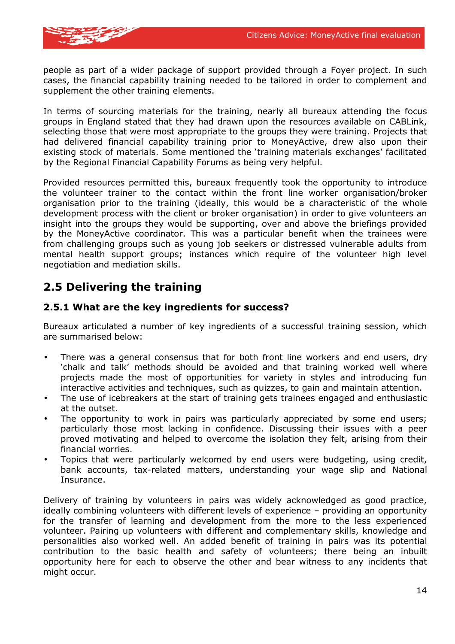

people as part of a wider package of support provided through a Foyer project. In such cases, the financial capability training needed to be tailored in order to complement and supplement the other training elements.

In terms of sourcing materials for the training, nearly all bureaux attending the focus groups in England stated that they had drawn upon the resources available on CABLink, selecting those that were most appropriate to the groups they were training. Projects that had delivered financial capability training prior to MoneyActive, drew also upon their existing stock of materials. Some mentioned the 'training materials exchanges' facilitated by the Regional Financial Capability Forums as being very helpful.

Provided resources permitted this, bureaux frequently took the opportunity to introduce the volunteer trainer to the contact within the front line worker organisation/broker organisation prior to the training (ideally, this would be a characteristic of the whole development process with the client or broker organisation) in order to give volunteers an insight into the groups they would be supporting, over and above the briefings provided by the MoneyActive coordinator. This was a particular benefit when the trainees were from challenging groups such as young job seekers or distressed vulnerable adults from mental health support groups; instances which require of the volunteer high level negotiation and mediation skills.

### **2.5 Delivering the training**

#### **2.5.1 What are the key ingredients for success?**

Bureaux articulated a number of key ingredients of a successful training session, which are summarised below:

- There was a general consensus that for both front line workers and end users, dry 'chalk and talk' methods should be avoided and that training worked well where projects made the most of opportunities for variety in styles and introducing fun interactive activities and techniques, such as quizzes, to gain and maintain attention.
- The use of icebreakers at the start of training gets trainees engaged and enthusiastic at the outset.
- The opportunity to work in pairs was particularly appreciated by some end users; particularly those most lacking in confidence. Discussing their issues with a peer proved motivating and helped to overcome the isolation they felt, arising from their financial worries.
- Topics that were particularly welcomed by end users were budgeting, using credit, bank accounts, tax-related matters, understanding your wage slip and National Insurance.

Delivery of training by volunteers in pairs was widely acknowledged as good practice, ideally combining volunteers with different levels of experience – providing an opportunity for the transfer of learning and development from the more to the less experienced volunteer. Pairing up volunteers with different and complementary skills, knowledge and personalities also worked well. An added benefit of training in pairs was its potential contribution to the basic health and safety of volunteers; there being an inbuilt opportunity here for each to observe the other and bear witness to any incidents that might occur.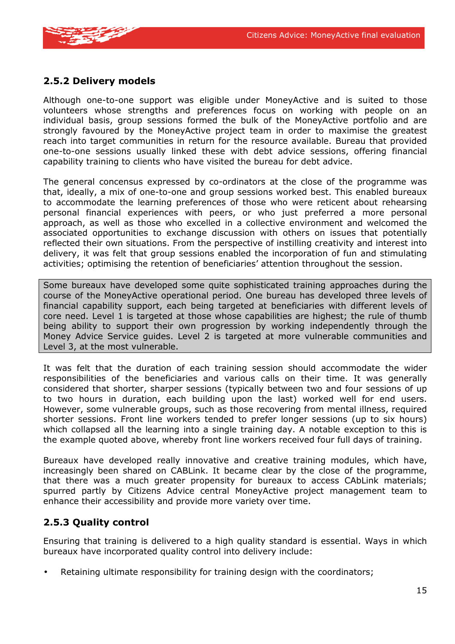

#### **2.5.2 Delivery models**

Although one-to-one support was eligible under MoneyActive and is suited to those volunteers whose strengths and preferences focus on working with people on an individual basis, group sessions formed the bulk of the MoneyActive portfolio and are strongly favoured by the MoneyActive project team in order to maximise the greatest reach into target communities in return for the resource available. Bureau that provided one-to-one sessions usually linked these with debt advice sessions, offering financial capability training to clients who have visited the bureau for debt advice.

The general concensus expressed by co-ordinators at the close of the programme was that, ideally, a mix of one-to-one and group sessions worked best. This enabled bureaux to accommodate the learning preferences of those who were reticent about rehearsing personal financial experiences with peers, or who just preferred a more personal approach, as well as those who excelled in a collective environment and welcomed the associated opportunities to exchange discussion with others on issues that potentially reflected their own situations. From the perspective of instilling creativity and interest into delivery, it was felt that group sessions enabled the incorporation of fun and stimulating activities; optimising the retention of beneficiaries' attention throughout the session.

Some bureaux have developed some quite sophisticated training approaches during the course of the MoneyActive operational period. One bureau has developed three levels of financial capability support, each being targeted at beneficiaries with different levels of core need. Level 1 is targeted at those whose capabilities are highest; the rule of thumb being ability to support their own progression by working independently through the Money Advice Service guides. Level 2 is targeted at more vulnerable communities and Level 3, at the most vulnerable.

It was felt that the duration of each training session should accommodate the wider responsibilities of the beneficiaries and various calls on their time. It was generally considered that shorter, sharper sessions (typically between two and four sessions of up to two hours in duration, each building upon the last) worked well for end users. However, some vulnerable groups, such as those recovering from mental illness, required shorter sessions. Front line workers tended to prefer longer sessions (up to six hours) which collapsed all the learning into a single training day. A notable exception to this is the example quoted above, whereby front line workers received four full days of training.

Bureaux have developed really innovative and creative training modules, which have, increasingly been shared on CABLink. It became clear by the close of the programme, that there was a much greater propensity for bureaux to access CAbLink materials; spurred partly by Citizens Advice central MoneyActive project management team to enhance their accessibility and provide more variety over time.

#### **2.5.3 Quality control**

Ensuring that training is delivered to a high quality standard is essential. Ways in which bureaux have incorporated quality control into delivery include:

• Retaining ultimate responsibility for training design with the coordinators;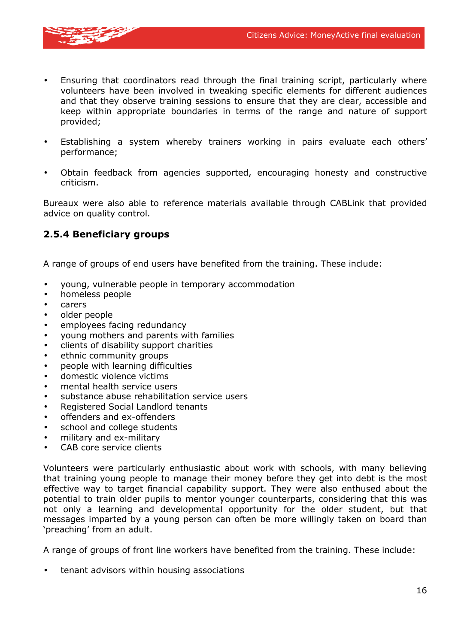

- Ensuring that coordinators read through the final training script, particularly where volunteers have been involved in tweaking specific elements for different audiences and that they observe training sessions to ensure that they are clear, accessible and keep within appropriate boundaries in terms of the range and nature of support provided;
- Establishing a system whereby trainers working in pairs evaluate each others' performance;
- Obtain feedback from agencies supported, encouraging honesty and constructive criticism.

Bureaux were also able to reference materials available through CABLink that provided advice on quality control.

#### **2.5.4 Beneficiary groups**

A range of groups of end users have benefited from the training. These include:

- young, vulnerable people in temporary accommodation
- homeless people
- carers
- older people
- employees facing redundancy
- young mothers and parents with families
- clients of disability support charities
- ethnic community groups
- people with learning difficulties
- domestic violence victims
- mental health service users
- substance abuse rehabilitation service users
- Registered Social Landlord tenants
- offenders and ex-offenders
- school and college students
- military and ex-military
- CAB core service clients

Volunteers were particularly enthusiastic about work with schools, with many believing that training young people to manage their money before they get into debt is the most effective way to target financial capability support. They were also enthused about the potential to train older pupils to mentor younger counterparts, considering that this was not only a learning and developmental opportunity for the older student, but that messages imparted by a young person can often be more willingly taken on board than 'preaching' from an adult.

A range of groups of front line workers have benefited from the training. These include:

• tenant advisors within housing associations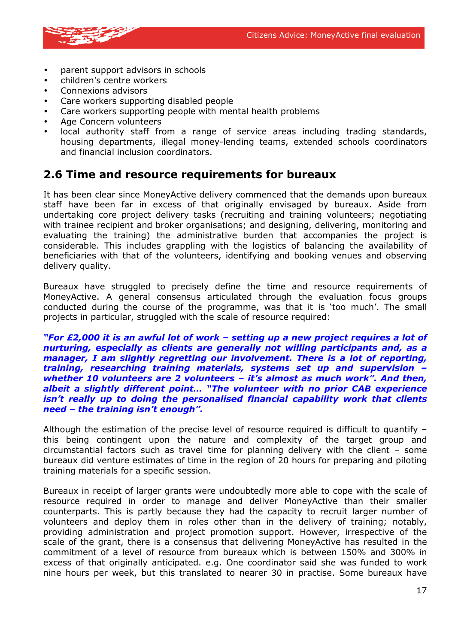

- parent support advisors in schools
- children's centre workers
- Connexions advisors
- Care workers supporting disabled people
- Care workers supporting people with mental health problems
- Age Concern volunteers
- local authority staff from a range of service areas including trading standards, housing departments, illegal money-lending teams, extended schools coordinators and financial inclusion coordinators.

#### **2.6 Time and resource requirements for bureaux**

It has been clear since MoneyActive delivery commenced that the demands upon bureaux staff have been far in excess of that originally envisaged by bureaux. Aside from undertaking core project delivery tasks (recruiting and training volunteers; negotiating with trainee recipient and broker organisations; and designing, delivering, monitoring and evaluating the training) the administrative burden that accompanies the project is considerable. This includes grappling with the logistics of balancing the availability of beneficiaries with that of the volunteers, identifying and booking venues and observing delivery quality.

Bureaux have struggled to precisely define the time and resource requirements of MoneyActive. A general consensus articulated through the evaluation focus groups conducted during the course of the programme, was that it is 'too much'. The small projects in particular, struggled with the scale of resource required:

*"For £2,000 it is an awful lot of work – setting up a new project requires a lot of nurturing, especially as clients are generally not willing participants and, as a manager, I am slightly regretting our involvement. There is a lot of reporting, training, researching training materials, systems set up and supervision – whether 10 volunteers are 2 volunteers – it's almost as much work". And then, albeit a slightly different point… "The volunteer with no prior CAB experience isn't really up to doing the personalised financial capability work that clients need – the training isn't enough".* 

Although the estimation of the precise level of resource required is difficult to quantify – this being contingent upon the nature and complexity of the target group and circumstantial factors such as travel time for planning delivery with the client – some bureaux did venture estimates of time in the region of 20 hours for preparing and piloting training materials for a specific session.

Bureaux in receipt of larger grants were undoubtedly more able to cope with the scale of resource required in order to manage and deliver MoneyActive than their smaller counterparts. This is partly because they had the capacity to recruit larger number of volunteers and deploy them in roles other than in the delivery of training; notably, providing administration and project promotion support. However, irrespective of the scale of the grant, there is a consensus that delivering MoneyActive has resulted in the commitment of a level of resource from bureaux which is between 150% and 300% in excess of that originally anticipated. e.g. One coordinator said she was funded to work nine hours per week, but this translated to nearer 30 in practise. Some bureaux have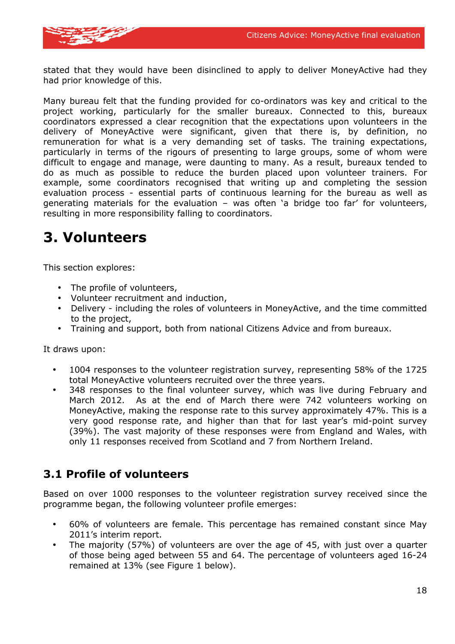

stated that they would have been disinclined to apply to deliver MoneyActive had they had prior knowledge of this.

Many bureau felt that the funding provided for co-ordinators was key and critical to the project working, particularly for the smaller bureaux. Connected to this, bureaux coordinators expressed a clear recognition that the expectations upon volunteers in the delivery of MoneyActive were significant, given that there is, by definition, no remuneration for what is a very demanding set of tasks. The training expectations, particularly in terms of the rigours of presenting to large groups, some of whom were difficult to engage and manage, were daunting to many. As a result, bureaux tended to do as much as possible to reduce the burden placed upon volunteer trainers. For example, some coordinators recognised that writing up and completing the session evaluation process - essential parts of continuous learning for the bureau as well as generating materials for the evaluation – was often 'a bridge too far' for volunteers, resulting in more responsibility falling to coordinators.

# **3. Volunteers**

This section explores:

- The profile of volunteers,
- Volunteer recruitment and induction,
- Delivery including the roles of volunteers in MoneyActive, and the time committed to the project,
- Training and support, both from national Citizens Advice and from bureaux.

It draws upon:

- 1004 responses to the volunteer registration survey, representing 58% of the 1725 total MoneyActive volunteers recruited over the three years.
- 348 responses to the final volunteer survey, which was live during February and March 2012. As at the end of March there were 742 volunteers working on MoneyActive, making the response rate to this survey approximately 47%. This is a very good response rate, and higher than that for last year's mid-point survey (39%). The vast majority of these responses were from England and Wales, with only 11 responses received from Scotland and 7 from Northern Ireland.

### **3.1 Profile of volunteers**

Based on over 1000 responses to the volunteer registration survey received since the programme began, the following volunteer profile emerges:

- 60% of volunteers are female. This percentage has remained constant since May 2011's interim report.
- The majority (57%) of volunteers are over the age of 45, with just over a quarter of those being aged between 55 and 64. The percentage of volunteers aged 16-24 remained at 13% (see Figure 1 below).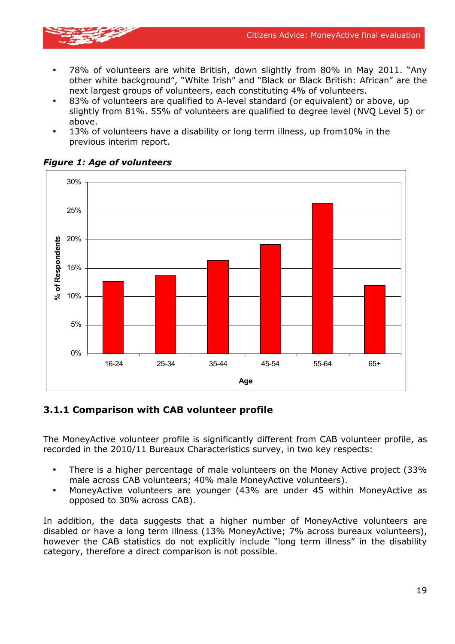

- 78% of volunteers are white British, down slightly from 80% in May 2011. "Any other white background", "White Irish" and "Black or Black British: African" are the next largest groups of volunteers, each constituting 4% of volunteers.
- 83% of volunteers are qualified to A-level standard (or equivalent) or above, up slightly from 81%. 55% of volunteers are qualified to degree level (NVQ Level 5) or above.
- 13% of volunteers have a disability or long term illness, up from10% in the previous interim report.



#### *Figure 1: Age of volunteers*

#### **3.1.1 Comparison with CAB volunteer profile**

The MoneyActive volunteer profile is significantly different from CAB volunteer profile, as recorded in the 2010/11 Bureaux Characteristics survey, in two key respects:

- There is a higher percentage of male volunteers on the Money Active project (33% male across CAB volunteers; 40% male MoneyActive volunteers).
- MoneyActive volunteers are younger (43% are under 45 within MoneyActive as opposed to 30% across CAB).

In addition, the data suggests that a higher number of MoneyActive volunteers are disabled or have a long term illness (13% MoneyActive; 7% across bureaux volunteers), however the CAB statistics do not explicitly include "long term illness" in the disability category, therefore a direct comparison is not possible.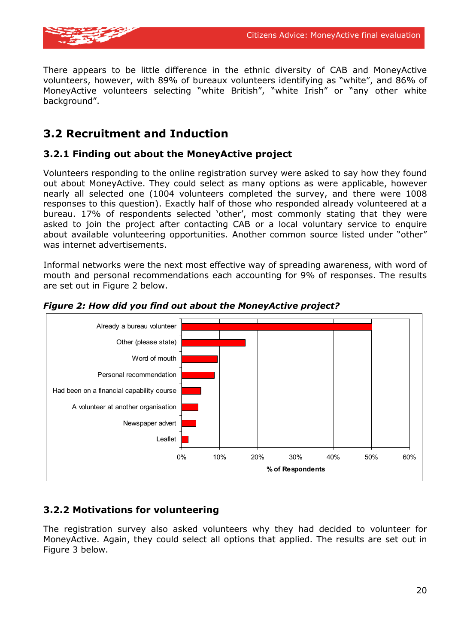

There appears to be little difference in the ethnic diversity of CAB and MoneyActive volunteers, however, with 89% of bureaux volunteers identifying as "white", and 86% of MoneyActive volunteers selecting "white British", "white Irish" or "any other white background".

### **3.2 Recruitment and Induction**

#### **3.2.1 Finding out about the MoneyActive project**

Volunteers responding to the online registration survey were asked to say how they found out about MoneyActive. They could select as many options as were applicable, however nearly all selected one (1004 volunteers completed the survey, and there were 1008 responses to this question). Exactly half of those who responded already volunteered at a bureau. 17% of respondents selected 'other', most commonly stating that they were asked to join the project after contacting CAB or a local voluntary service to enquire about available volunteering opportunities. Another common source listed under "other" was internet advertisements.

Informal networks were the next most effective way of spreading awareness, with word of mouth and personal recommendations each accounting for 9% of responses. The results are set out in Figure 2 below.



*Figure 2: How did you find out about the MoneyActive project?* 

#### **3.2.2 Motivations for volunteering**

The registration survey also asked volunteers why they had decided to volunteer for MoneyActive. Again, they could select all options that applied. The results are set out in Figure 3 below.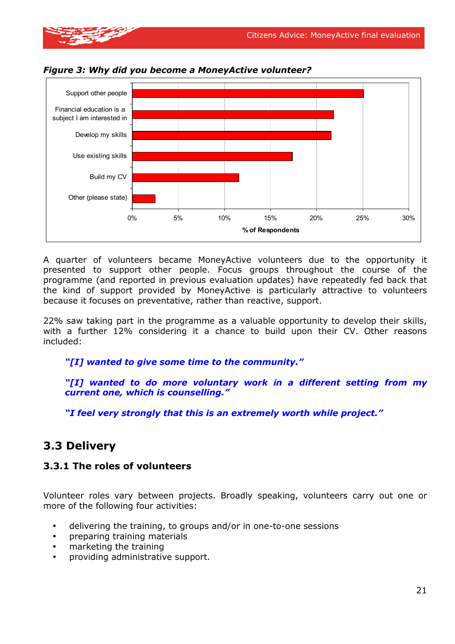

A quarter of volunteers became MoneyActive volunteers due to the opportunity it presented to support other people. Focus groups throughout the course of the programme (and reported in previous evaluation updates) have repeatedly fed back that the kind of support provided by MoneyActive is particularly attractive to volunteers because it focuses on preventative, rather than reactive, support.

**% of Respondents**

22% saw taking part in the programme as a valuable opportunity to develop their skills, with a further 12% considering it a chance to build upon their CV. Other reasons included:

#### *"[I] wanted to give some time to the community."*

*"[I] wanted to do more voluntary work in a different setting from my current one, which is counselling."* 

*"I feel very strongly that this is an extremely worth while project."* 

### **3.3 Delivery**

#### **3.3.1 The roles of volunteers**

Volunteer roles vary between projects. Broadly speaking, volunteers carry out one or more of the following four activities:

- delivering the training, to groups and/or in one-to-one sessions
- preparing training materials
- marketing the training
- providing administrative support.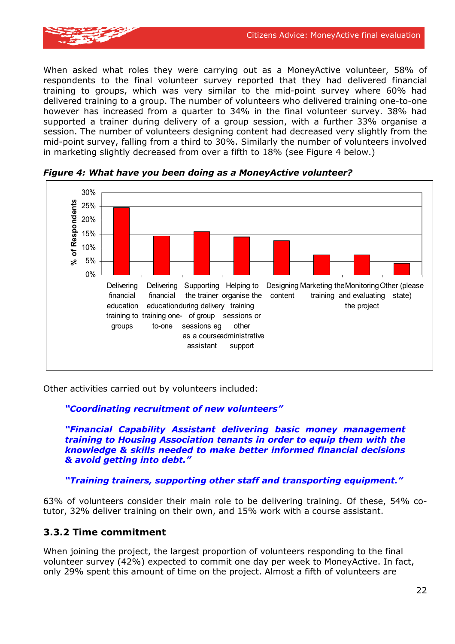

When asked what roles they were carrying out as a MoneyActive volunteer, 58% of respondents to the final volunteer survey reported that they had delivered financial training to groups, which was very similar to the mid-point survey where 60% had delivered training to a group. The number of volunteers who delivered training one-to-one however has increased from a quarter to 34% in the final volunteer survey. 38% had supported a trainer during delivery of a group session, with a further 33% organise a session. The number of volunteers designing content had decreased very slightly from the mid-point survey, falling from a third to 30%. Similarly the number of volunteers involved in marketing slightly decreased from over a fifth to 18% (see Figure 4 below.)



*Figure 4: What have you been doing as a MoneyActive volunteer?* 

Other activities carried out by volunteers included:

#### *"Coordinating recruitment of new volunteers"*

*"Financial Capability Assistant delivering basic money management training to Housing Association tenants in order to equip them with the knowledge & skills needed to make better informed financial decisions & avoid getting into debt."* 

*"Training trainers, supporting other staff and transporting equipment."* 

63% of volunteers consider their main role to be delivering training. Of these, 54% cotutor, 32% deliver training on their own, and 15% work with a course assistant.

#### **3.3.2 Time commitment**

When joining the project, the largest proportion of volunteers responding to the final volunteer survey (42%) expected to commit one day per week to MoneyActive. In fact, only 29% spent this amount of time on the project. Almost a fifth of volunteers are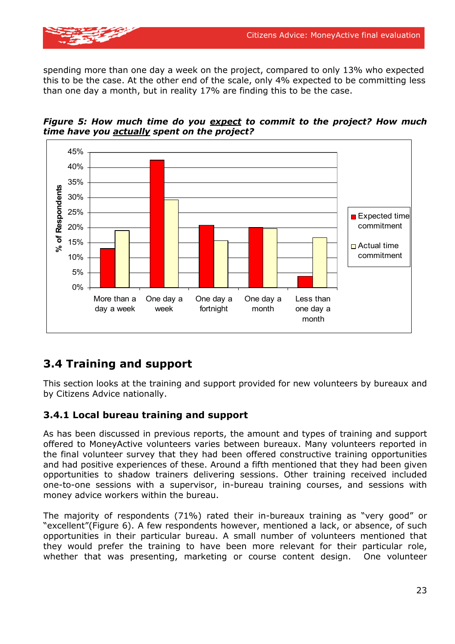

spending more than one day a week on the project, compared to only 13% who expected this to be the case. At the other end of the scale, only 4% expected to be committing less than one day a month, but in reality 17% are finding this to be the case.





### **3.4 Training and support**

This section looks at the training and support provided for new volunteers by bureaux and by Citizens Advice nationally.

#### **3.4.1 Local bureau training and support**

As has been discussed in previous reports, the amount and types of training and support offered to MoneyActive volunteers varies between bureaux. Many volunteers reported in the final volunteer survey that they had been offered constructive training opportunities and had positive experiences of these. Around a fifth mentioned that they had been given opportunities to shadow trainers delivering sessions. Other training received included one-to-one sessions with a supervisor, in-bureau training courses, and sessions with money advice workers within the bureau.

The majority of respondents (71%) rated their in-bureaux training as "very good" or "excellent"(Figure 6). A few respondents however, mentioned a lack, or absence, of such opportunities in their particular bureau. A small number of volunteers mentioned that they would prefer the training to have been more relevant for their particular role, whether that was presenting, marketing or course content design. One volunteer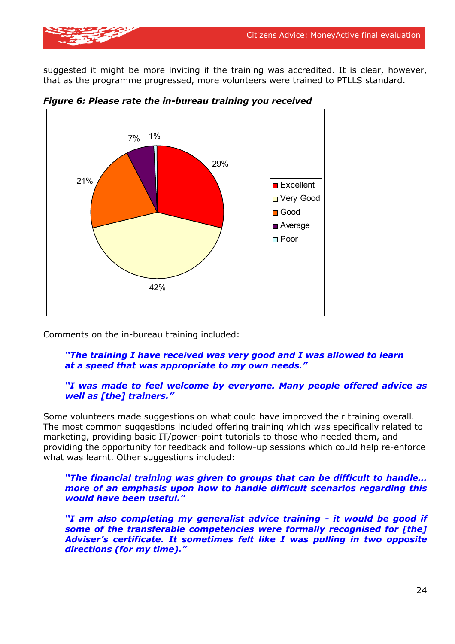suggested it might be more inviting if the training was accredited. It is clear, however, that as the programme progressed, more volunteers were trained to PTLLS standard.



*Figure 6: Please rate the in-bureau training you received*

Comments on the in-bureau training included:

#### *"The training I have received was very good and I was allowed to learn at a speed that was appropriate to my own needs."*

#### *"I was made to feel welcome by everyone. Many people offered advice as well as [the] trainers."*

Some volunteers made suggestions on what could have improved their training overall. The most common suggestions included offering training which was specifically related to marketing, providing basic IT/power-point tutorials to those who needed them, and providing the opportunity for feedback and follow-up sessions which could help re-enforce what was learnt. Other suggestions included:

*"The financial training was given to groups that can be difficult to handle… more of an emphasis upon how to handle difficult scenarios regarding this would have been useful."* 

*"I am also completing my generalist advice training - it would be good if some of the transferable competencies were formally recognised for [the] Adviser's certificate. It sometimes felt like I was pulling in two opposite directions (for my time)."*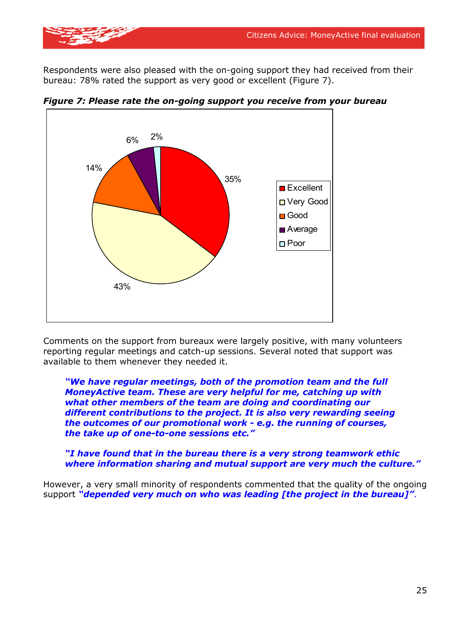Respondents were also pleased with the on-going support they had received from their bureau: 78% rated the support as very good or excellent (Figure 7).



*Figure 7: Please rate the on-going support you receive from your bureau* 

Comments on the support from bureaux were largely positive, with many volunteers reporting regular meetings and catch-up sessions. Several noted that support was available to them whenever they needed it.

*"We have regular meetings, both of the promotion team and the full MoneyActive team. These are very helpful for me, catching up with what other members of the team are doing and coordinating our different contributions to the project. It is also very rewarding seeing the outcomes of our promotional work - e.g. the running of courses, the take up of one-to-one sessions etc."* 

#### *"I have found that in the bureau there is a very strong teamwork ethic where information sharing and mutual support are very much the culture."*

However, a very small minority of respondents commented that the quality of the ongoing support *"depended very much on who was leading [the project in the bureau]"*.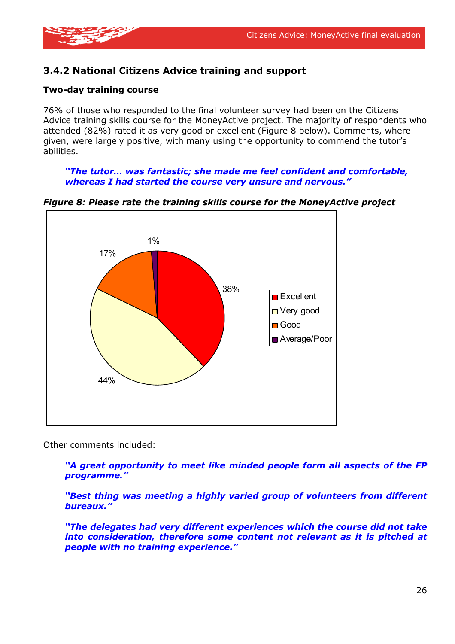

#### **3.4.2 National Citizens Advice training and support**

#### **Two-day training course**

76% of those who responded to the final volunteer survey had been on the Citizens Advice training skills course for the MoneyActive project. The majority of respondents who attended (82%) rated it as very good or excellent (Figure 8 below). Comments, where given, were largely positive, with many using the opportunity to commend the tutor's abilities.

*"The tutor… was fantastic; she made me feel confident and comfortable, whereas I had started the course very unsure and nervous."* 

*Figure 8: Please rate the training skills course for the MoneyActive project* 



Other comments included:

*"A great opportunity to meet like minded people form all aspects of the FP programme."* 

*"Best thing was meeting a highly varied group of volunteers from different bureaux."* 

*"The delegates had very different experiences which the course did not take into consideration, therefore some content not relevant as it is pitched at people with no training experience."*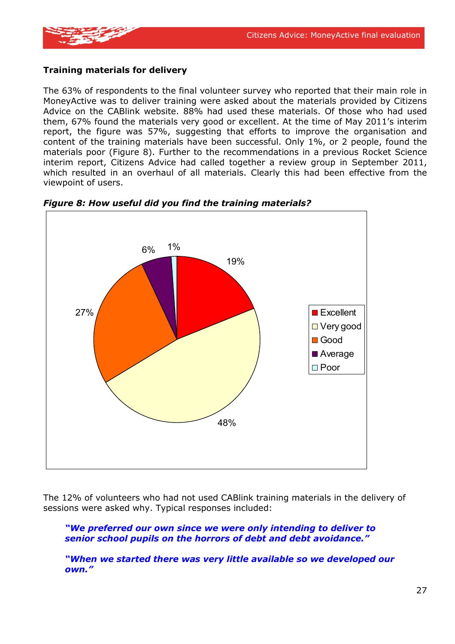

#### **Training materials for delivery**

The 63% of respondents to the final volunteer survey who reported that their main role in MoneyActive was to deliver training were asked about the materials provided by Citizens Advice on the CABlink website. 88% had used these materials. Of those who had used them, 67% found the materials very good or excellent. At the time of May 2011's interim report, the figure was 57%, suggesting that efforts to improve the organisation and content of the training materials have been successful. Only 1%, or 2 people, found the materials poor (Figure 8). Further to the recommendations in a previous Rocket Science interim report, Citizens Advice had called together a review group in September 2011, which resulted in an overhaul of all materials. Clearly this had been effective from the viewpoint of users.





The 12% of volunteers who had not used CABlink training materials in the delivery of sessions were asked why. Typical responses included:

*"We preferred our own since we were only intending to deliver to senior school pupils on the horrors of debt and debt avoidance."* 

*"When we started there was very little available so we developed our own."*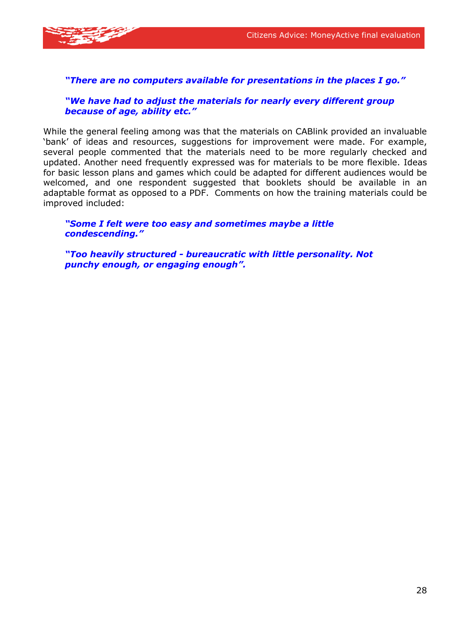

#### *"There are no computers available for presentations in the places I go."*

#### *"We have had to adjust the materials for nearly every different group because of age, ability etc."*

While the general feeling among was that the materials on CABlink provided an invaluable 'bank' of ideas and resources, suggestions for improvement were made. For example, several people commented that the materials need to be more regularly checked and updated. Another need frequently expressed was for materials to be more flexible. Ideas for basic lesson plans and games which could be adapted for different audiences would be welcomed, and one respondent suggested that booklets should be available in an adaptable format as opposed to a PDF. Comments on how the training materials could be improved included:

*"Some I felt were too easy and sometimes maybe a little condescending."* 

*"Too heavily structured - bureaucratic with little personality. Not punchy enough, or engaging enough".*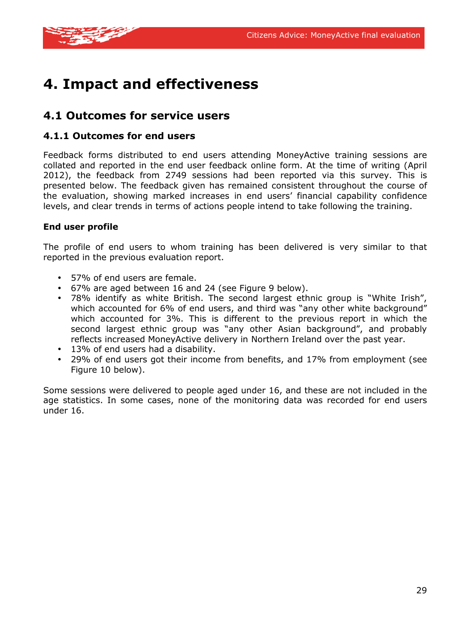

# **4. Impact and effectiveness**

### **4.1 Outcomes for service users**

#### **4.1.1 Outcomes for end users**

Feedback forms distributed to end users attending MoneyActive training sessions are collated and reported in the end user feedback online form. At the time of writing (April 2012), the feedback from 2749 sessions had been reported via this survey. This is presented below. The feedback given has remained consistent throughout the course of the evaluation, showing marked increases in end users' financial capability confidence levels, and clear trends in terms of actions people intend to take following the training.

#### **End user profile**

The profile of end users to whom training has been delivered is very similar to that reported in the previous evaluation report.

- 57% of end users are female.
- 67% are aged between 16 and 24 (see Figure 9 below).
- 78% identify as white British. The second largest ethnic group is "White Irish", which accounted for 6% of end users, and third was "any other white background" which accounted for 3%. This is different to the previous report in which the second largest ethnic group was "any other Asian background", and probably reflects increased MoneyActive delivery in Northern Ireland over the past year.
- 13% of end users had a disability.
- 29% of end users got their income from benefits, and 17% from employment (see Figure 10 below).

Some sessions were delivered to people aged under 16, and these are not included in the age statistics. In some cases, none of the monitoring data was recorded for end users under 16.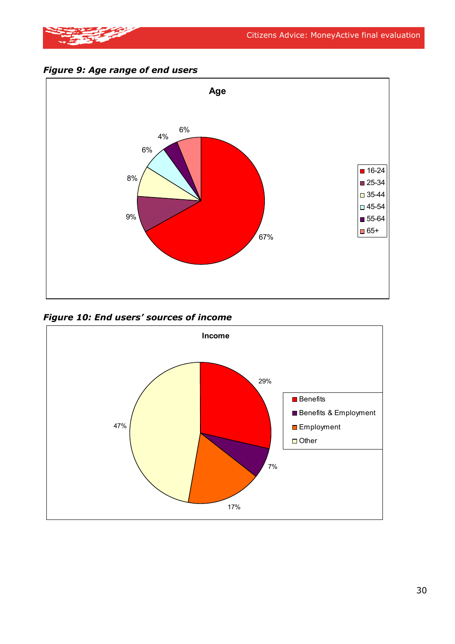

*Figure 9: Age range of end users* 



*Figure 10: End users' sources of income* 

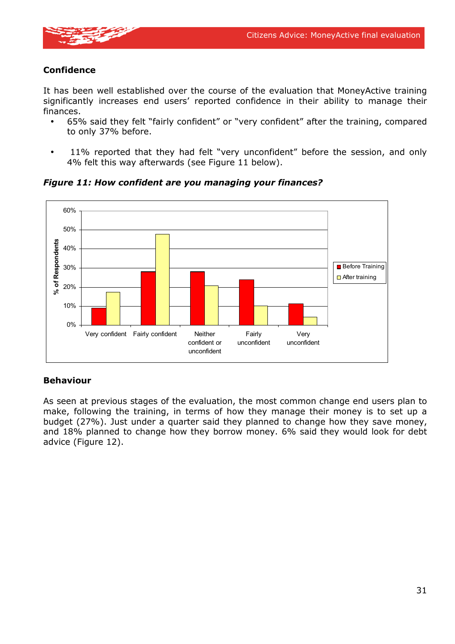

#### **Confidence**

It has been well established over the course of the evaluation that MoneyActive training significantly increases end users' reported confidence in their ability to manage their finances.

- 65% said they felt "fairly confident" or "very confident" after the training, compared to only 37% before.
- 11% reported that they had felt "very unconfident" before the session, and only 4% felt this way afterwards (see Figure 11 below).



*Figure 11: How confident are you managing your finances?* 

#### **Behaviour**

As seen at previous stages of the evaluation, the most common change end users plan to make, following the training, in terms of how they manage their money is to set up a budget (27%). Just under a quarter said they planned to change how they save money, and 18% planned to change how they borrow money. 6% said they would look for debt advice (Figure 12).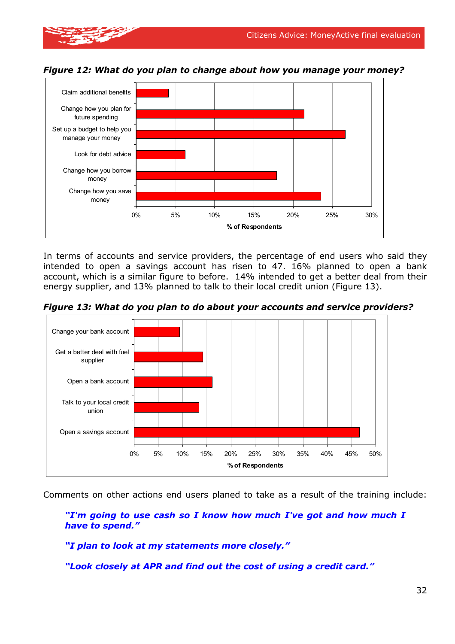

money

*Figure 12: What do you plan to change about how you manage your money?* 

In terms of accounts and service providers, the percentage of end users who said they intended to open a savings account has risen to 47. 16% planned to open a bank account, which is a similar figure to before. 14% intended to get a better deal from their energy supplier, and 13% planned to talk to their local credit union (Figure 13).

0% 5% 10% 15% 20% 25% 30%

**% of Respondents**

*Figure 13: What do you plan to do about your accounts and service providers?*

![](_page_34_Figure_5.jpeg)

Comments on other actions end users planed to take as a result of the training include:

*"I'm going to use cash so I know how much I've got and how much I have to spend."* 

*"I plan to look at my statements more closely."* 

*"Look closely at APR and find out the cost of using a credit card."*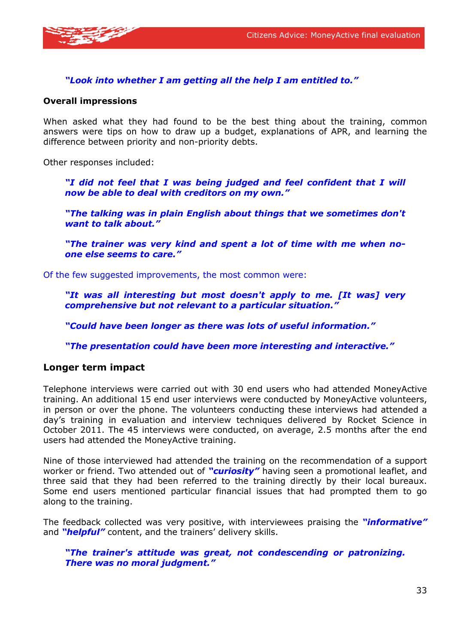![](_page_35_Picture_1.jpeg)

#### *"Look into whether I am getting all the help I am entitled to."*

#### **Overall impressions**

When asked what they had found to be the best thing about the training, common answers were tips on how to draw up a budget, explanations of APR, and learning the difference between priority and non-priority debts.

Other responses included:

*"I did not feel that I was being judged and feel confident that I will now be able to deal with creditors on my own."* 

*"The talking was in plain English about things that we sometimes don't want to talk about."* 

*"The trainer was very kind and spent a lot of time with me when noone else seems to care."* 

Of the few suggested improvements, the most common were:

*"It was all interesting but most doesn't apply to me. [It was] very comprehensive but not relevant to a particular situation."* 

*"Could have been longer as there was lots of useful information."* 

*"The presentation could have been more interesting and interactive."* 

#### **Longer term impact**

Telephone interviews were carried out with 30 end users who had attended MoneyActive training. An additional 15 end user interviews were conducted by MoneyActive volunteers, in person or over the phone. The volunteers conducting these interviews had attended a day's training in evaluation and interview techniques delivered by Rocket Science in October 2011. The 45 interviews were conducted, on average, 2.5 months after the end users had attended the MoneyActive training.

Nine of those interviewed had attended the training on the recommendation of a support worker or friend. Two attended out of *"curiosity"* having seen a promotional leaflet, and three said that they had been referred to the training directly by their local bureaux. Some end users mentioned particular financial issues that had prompted them to go along to the training.

The feedback collected was very positive, with interviewees praising the *"informative"* and *"helpful"* content, and the trainers' delivery skills.

#### *"The trainer's attitude was great, not condescending or patronizing. There was no moral judgment."*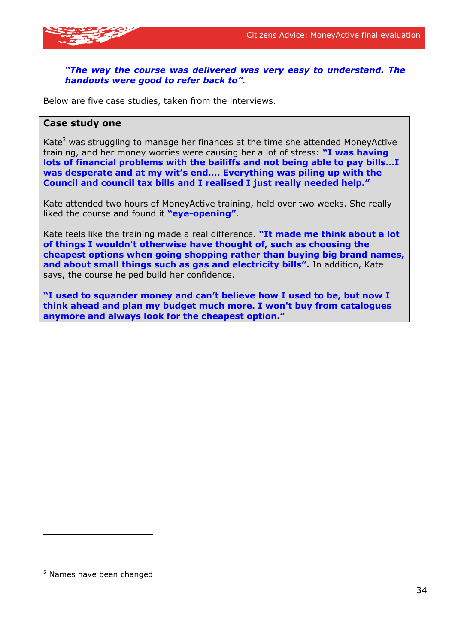![](_page_36_Picture_1.jpeg)

#### *"The way the course was delivered was very easy to understand. The handouts were good to refer back to".*

Below are five case studies, taken from the interviews.

#### **Case study one**

Kate<sup>3</sup> was struggling to manage her finances at the time she attended MoneyActive training, and her money worries were causing her a lot of stress: **"I was having lots of financial problems with the bailiffs and not being able to pay bills…I was desperate and at my wit's end…. Everything was piling up with the Council and council tax bills and I realised I just really needed help."**

Kate attended two hours of MoneyActive training, held over two weeks. She really liked the course and found it **"eye-opening"**.

Kate feels like the training made a real difference. **"It made me think about a lot of things I wouldn't otherwise have thought of, such as choosing the cheapest options when going shopping rather than buying big brand names, and about small things such as gas and electricity bills".** In addition, Kate says, the course helped build her confidence.

**"I used to squander money and can't believe how I used to be, but now I think ahead and plan my budget much more. I won't buy from catalogues anymore and always look for the cheapest option."** 

 $3$  Names have been changed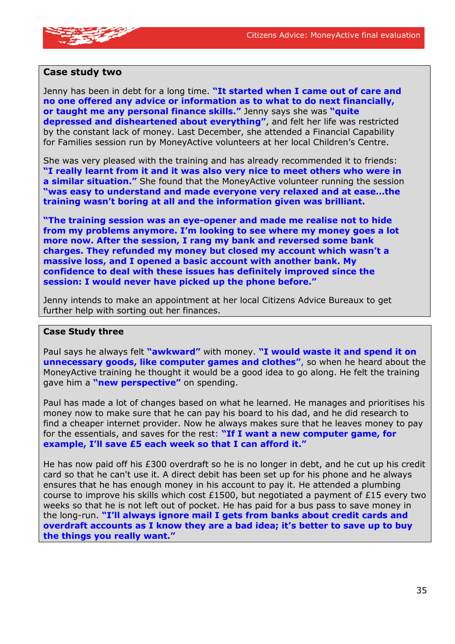![](_page_37_Picture_1.jpeg)

#### **Case study two**

Jenny has been in debt for a long time. **"It started when I came out of care and no one offered any advice or information as to what to do next financially, or taught me any personal finance skills."** Jenny says she was **"quite depressed and disheartened about everything"**, and felt her life was restricted by the constant lack of money. Last December, she attended a Financial Capability for Families session run by MoneyActive volunteers at her local Children's Centre.

She was very pleased with the training and has already recommended it to friends: **"I really learnt from it and it was also very nice to meet others who were in a similar situation."** She found that the MoneyActive volunteer running the session **"was easy to understand and made everyone very relaxed and at ease…the training wasn't boring at all and the information given was brilliant.**

**"The training session was an eye-opener and made me realise not to hide from my problems anymore. I'm looking to see where my money goes a lot more now. After the session, I rang my bank and reversed some bank charges. They refunded my money but closed my account which wasn't a massive loss, and I opened a basic account with another bank. My confidence to deal with these issues has definitely improved since the session: I would never have picked up the phone before."** 

Jenny intends to make an appointment at her local Citizens Advice Bureaux to get further help with sorting out her finances.

#### **Case Study three**

Paul says he always felt **"awkward"** with money. **"I would waste it and spend it on unnecessary goods, like computer games and clothes"**, so when he heard about the MoneyActive training he thought it would be a good idea to go along. He felt the training gave him a **"new perspective"** on spending.

Paul has made a lot of changes based on what he learned. He manages and prioritises his money now to make sure that he can pay his board to his dad, and he did research to find a cheaper internet provider. Now he always makes sure that he leaves money to pay for the essentials, and saves for the rest: **"If I want a new computer game, for example, I'll save £5 each week so that I can afford it."**

He has now paid off his £300 overdraft so he is no longer in debt, and he cut up his credit card so that he can't use it. A direct debit has been set up for his phone and he always ensures that he has enough money in his account to pay it. He attended a plumbing course to improve his skills which cost  $£1500$ , but negotiated a payment of  $£15$  every two weeks so that he is not left out of pocket. He has paid for a bus pass to save money in the long-run. **"I'll always ignore mail I gets from banks about credit cards and overdraft accounts as I know they are a bad idea; it's better to save up to buy the things you really want."**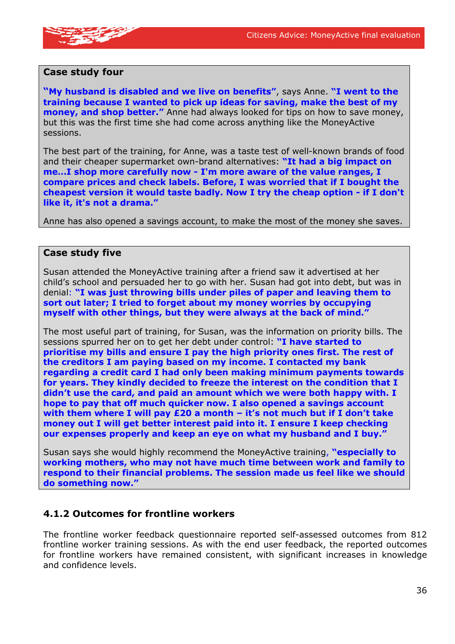![](_page_38_Picture_1.jpeg)

#### **Case study four**

**"My husband is disabled and we live on benefits"**, says Anne. **"I went to the training because I wanted to pick up ideas for saving, make the best of my money, and shop better."** Anne had always looked for tips on how to save money, but this was the first time she had come across anything like the MoneyActive sessions.

The best part of the training, for Anne, was a taste test of well-known brands of food and their cheaper supermarket own-brand alternatives: **"It had a big impact on me…I shop more carefully now - I'm more aware of the value ranges, I compare prices and check labels. Before, I was worried that if I bought the cheapest version it would taste badly. Now I try the cheap option - if I don't like it, it's not a drama."** 

Anne has also opened a savings account, to make the most of the money she saves.

#### **Case study five**

Susan attended the MoneyActive training after a friend saw it advertised at her child's school and persuaded her to go with her. Susan had got into debt, but was in denial: **"I was just throwing bills under piles of paper and leaving them to sort out later; I tried to forget about my money worries by occupying myself with other things, but they were always at the back of mind."** 

The most useful part of training, for Susan, was the information on priority bills. The sessions spurred her on to get her debt under control: **"I have started to prioritise my bills and ensure I pay the high priority ones first. The rest of the creditors I am paying based on my income. I contacted my bank regarding a credit card I had only been making minimum payments towards for years. They kindly decided to freeze the interest on the condition that I didn't use the card, and paid an amount which we were both happy with. I hope to pay that off much quicker now. I also opened a savings account with them where I will pay £20 a month – it's not much but if I don't take money out I will get better interest paid into it. I ensure I keep checking our expenses properly and keep an eye on what my husband and I buy."**

Susan says she would highly recommend the MoneyActive training, **"especially to working mothers, who may not have much time between work and family to respond to their financial problems. The session made us feel like we should do something now."**

#### **4.1.2 Outcomes for frontline workers**

The frontline worker feedback questionnaire reported self-assessed outcomes from 812 frontline worker training sessions. As with the end user feedback, the reported outcomes for frontline workers have remained consistent, with significant increases in knowledge and confidence levels.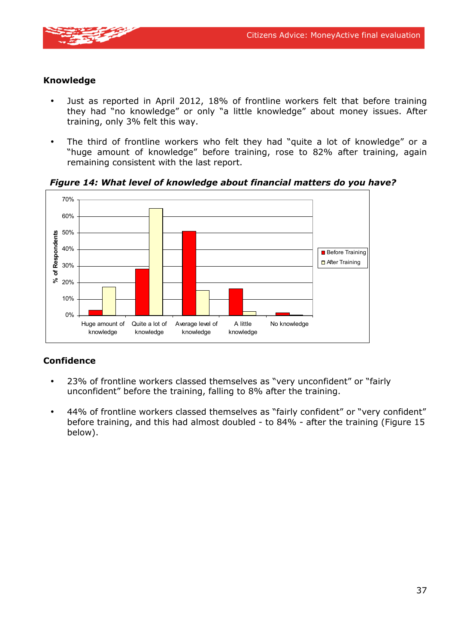![](_page_39_Picture_1.jpeg)

#### **Knowledge**

- Just as reported in April 2012, 18% of frontline workers felt that before training they had "no knowledge" or only "a little knowledge" about money issues. After training, only 3% felt this way.
- The third of frontline workers who felt they had "quite a lot of knowledge" or a "huge amount of knowledge" before training, rose to 82% after training, again remaining consistent with the last report.

![](_page_39_Figure_5.jpeg)

*Figure 14: What level of knowledge about financial matters do you have?* 

#### **Confidence**

- 23% of frontline workers classed themselves as "very unconfident" or "fairly unconfident" before the training, falling to 8% after the training.
- 44% of frontline workers classed themselves as "fairly confident" or "very confident" before training, and this had almost doubled - to 84% - after the training (Figure 15 below).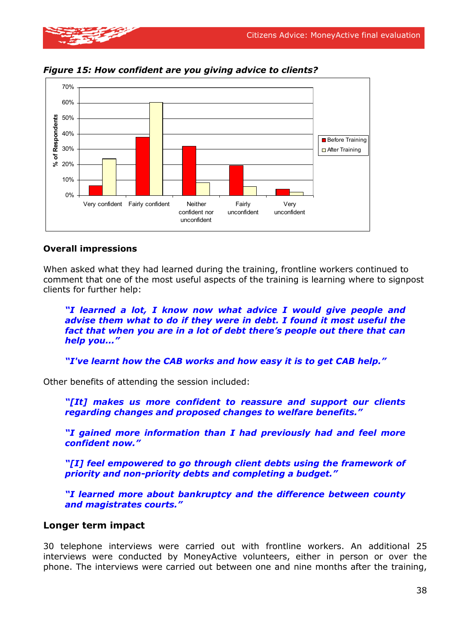![](_page_40_Picture_1.jpeg)

confident nor unconfident

*Figure 15: How confident are you giving advice to clients?* 

#### **Overall impressions**

When asked what they had learned during the training, frontline workers continued to comment that one of the most useful aspects of the training is learning where to signpost clients for further help:

unconfident

unconfident

*"I learned a lot, I know now what advice I would give people and advise them what to do if they were in debt. I found it most useful the fact that when you are in a lot of debt there's people out there that can help you..."* 

*"I've learnt how the CAB works and how easy it is to get CAB help."* 

Other benefits of attending the session included:

*"[It] makes us more confident to reassure and support our clients regarding changes and proposed changes to welfare benefits."* 

*"I gained more information than I had previously had and feel more confident now."* 

*"[I] feel empowered to go through client debts using the framework of priority and non-priority debts and completing a budget."* 

*"I learned more about bankruptcy and the difference between county and magistrates courts."* 

#### **Longer term impact**

30 telephone interviews were carried out with frontline workers. An additional 25 interviews were conducted by MoneyActive volunteers, either in person or over the phone. The interviews were carried out between one and nine months after the training,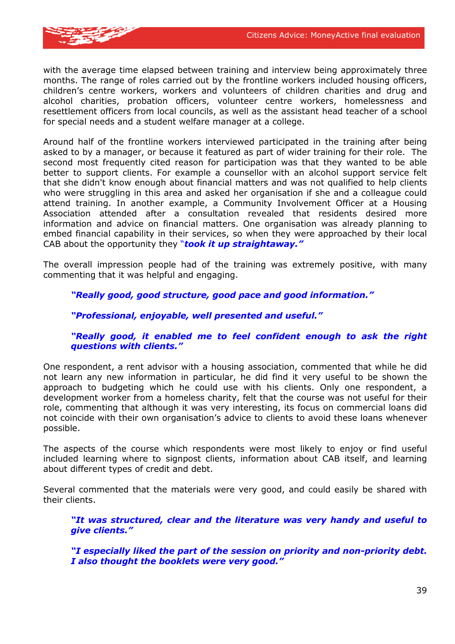![](_page_41_Picture_1.jpeg)

with the average time elapsed between training and interview being approximately three months. The range of roles carried out by the frontline workers included housing officers, children's centre workers, workers and volunteers of children charities and drug and alcohol charities, probation officers, volunteer centre workers, homelessness and resettlement officers from local councils, as well as the assistant head teacher of a school for special needs and a student welfare manager at a college.

Around half of the frontline workers interviewed participated in the training after being asked to by a manager, or because it featured as part of wider training for their role. The second most frequently cited reason for participation was that they wanted to be able better to support clients. For example a counsellor with an alcohol support service felt that she didn't know enough about financial matters and was not qualified to help clients who were struggling in this area and asked her organisation if she and a colleague could attend training. In another example, a Community Involvement Officer at a Housing Association attended after a consultation revealed that residents desired more information and advice on financial matters. One organisation was already planning to embed financial capability in their services, so when they were approached by their local CAB about the opportunity they "*took it up straightaway."* 

The overall impression people had of the training was extremely positive, with many commenting that it was helpful and engaging.

#### *"Really good, good structure, good pace and good information."*

#### *"Professional, enjoyable, well presented and useful."*

#### *"Really good, it enabled me to feel confident enough to ask the right questions with clients."*

One respondent, a rent advisor with a housing association, commented that while he did not learn any new information in particular, he did find it very useful to be shown the approach to budgeting which he could use with his clients. Only one respondent, a development worker from a homeless charity, felt that the course was not useful for their role, commenting that although it was very interesting, its focus on commercial loans did not coincide with their own organisation's advice to clients to avoid these loans whenever possible.

The aspects of the course which respondents were most likely to enjoy or find useful included learning where to signpost clients, information about CAB itself, and learning about different types of credit and debt.

Several commented that the materials were very good, and could easily be shared with their clients.

*"It was structured, clear and the literature was very handy and useful to give clients."* 

*"I especially liked the part of the session on priority and non-priority debt. I also thought the booklets were very good."*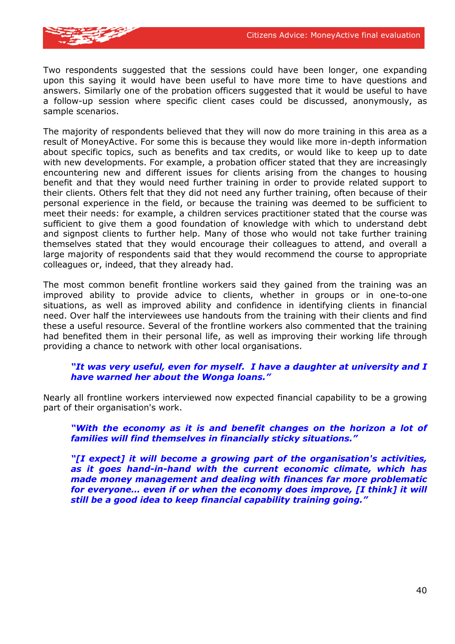![](_page_42_Picture_1.jpeg)

Two respondents suggested that the sessions could have been longer, one expanding upon this saying it would have been useful to have more time to have questions and answers. Similarly one of the probation officers suggested that it would be useful to have a follow-up session where specific client cases could be discussed, anonymously, as sample scenarios.

The majority of respondents believed that they will now do more training in this area as a result of MoneyActive. For some this is because they would like more in-depth information about specific topics, such as benefits and tax credits, or would like to keep up to date with new developments. For example, a probation officer stated that they are increasingly encountering new and different issues for clients arising from the changes to housing benefit and that they would need further training in order to provide related support to their clients. Others felt that they did not need any further training, often because of their personal experience in the field, or because the training was deemed to be sufficient to meet their needs: for example, a children services practitioner stated that the course was sufficient to give them a good foundation of knowledge with which to understand debt and signpost clients to further help. Many of those who would not take further training themselves stated that they would encourage their colleagues to attend, and overall a large majority of respondents said that they would recommend the course to appropriate colleagues or, indeed, that they already had.

The most common benefit frontline workers said they gained from the training was an improved ability to provide advice to clients, whether in groups or in one-to-one situations, as well as improved ability and confidence in identifying clients in financial need. Over half the interviewees use handouts from the training with their clients and find these a useful resource. Several of the frontline workers also commented that the training had benefited them in their personal life, as well as improving their working life through providing a chance to network with other local organisations.

#### *"It was very useful, even for myself. I have a daughter at university and I have warned her about the Wonga loans."*

Nearly all frontline workers interviewed now expected financial capability to be a growing part of their organisation's work.

*"With the economy as it is and benefit changes on the horizon a lot of families will find themselves in financially sticky situations."* 

*"[I expect] it will become a growing part of the organisation's activities, as it goes hand-in-hand with the current economic climate, which has made money management and dealing with finances far more problematic for everyone… even if or when the economy does improve, [I think] it will still be a good idea to keep financial capability training going."*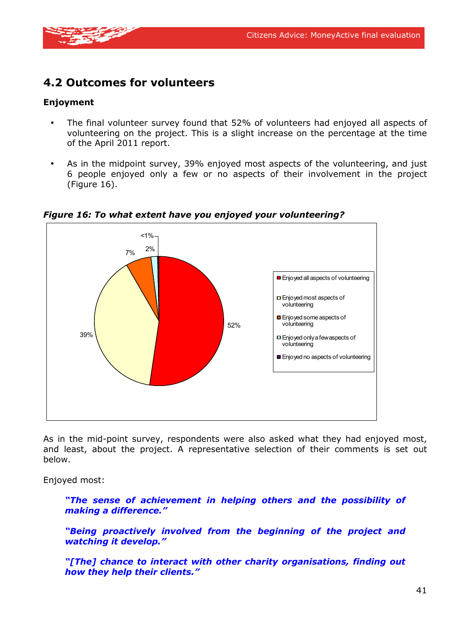![](_page_43_Picture_1.jpeg)

### **4.2 Outcomes for volunteers**

#### **Enjoyment**

- The final volunteer survey found that 52% of volunteers had enjoyed all aspects of volunteering on the project. This is a slight increase on the percentage at the time of the April 2011 report.
- As in the midpoint survey, 39% enjoyed most aspects of the volunteering, and just 6 people enjoyed only a few or no aspects of their involvement in the project (Figure 16).

![](_page_43_Figure_6.jpeg)

#### *Figure 16: To what extent have you enjoyed your volunteering?*

As in the mid-point survey, respondents were also asked what they had enjoyed most, and least, about the project. A representative selection of their comments is set out below.

Enjoyed most:

*"The sense of achievement in helping others and the possibility of making a difference."* 

*"Being proactively involved from the beginning of the project and watching it develop."* 

*"[The] chance to interact with other charity organisations, finding out how they help their clients."*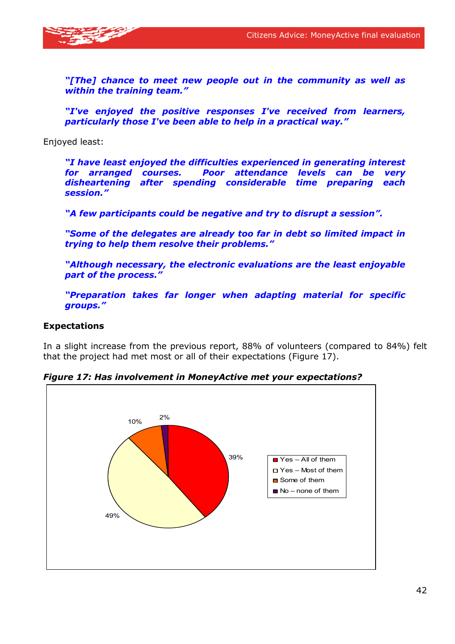![](_page_44_Picture_1.jpeg)

*"[The] chance to meet new people out in the community as well as within the training team."* 

*"I've enjoyed the positive responses I've received from learners, particularly those I've been able to help in a practical way."* 

Enjoyed least:

*"I have least enjoyed the difficulties experienced in generating interest for arranged courses. Poor attendance levels can be very disheartening after spending considerable time preparing each session."* 

*"A few participants could be negative and try to disrupt a session".* 

*"Some of the delegates are already too far in debt so limited impact in trying to help them resolve their problems."* 

*"Although necessary, the electronic evaluations are the least enjoyable part of the process."* 

*"Preparation takes far longer when adapting material for specific groups."* 

#### **Expectations**

In a slight increase from the previous report, 88% of volunteers (compared to 84%) felt that the project had met most or all of their expectations (Figure 17).

![](_page_44_Figure_12.jpeg)

*Figure 17: Has involvement in MoneyActive met your expectations?*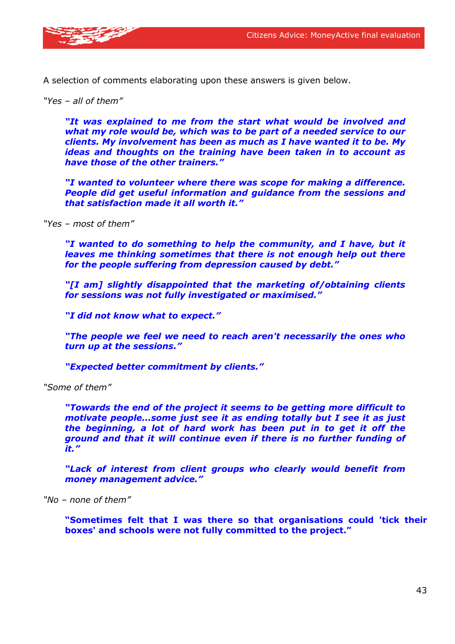![](_page_45_Picture_1.jpeg)

A selection of comments elaborating upon these answers is given below.

*"Yes – all of them"* 

*"It was explained to me from the start what would be involved and what my role would be, which was to be part of a needed service to our clients. My involvement has been as much as I have wanted it to be. My ideas and thoughts on the training have been taken in to account as have those of the other trainers."* 

*"I wanted to volunteer where there was scope for making a difference. People did get useful information and guidance from the sessions and that satisfaction made it all worth it."* 

*"Yes – most of them"* 

*"I wanted to do something to help the community, and I have, but it leaves me thinking sometimes that there is not enough help out there for the people suffering from depression caused by debt."* 

*"[I am] slightly disappointed that the marketing of/obtaining clients for sessions was not fully investigated or maximised."* 

*"I did not know what to expect."* 

*"The people we feel we need to reach aren't necessarily the ones who turn up at the sessions."* 

*"Expected better commitment by clients."* 

*"Some of them"* 

*"Towards the end of the project it seems to be getting more difficult to motivate people...some just see it as ending totally but I see it as just the beginning, a lot of hard work has been put in to get it off the ground and that it will continue even if there is no further funding of it."* 

*"Lack of interest from client groups who clearly would benefit from money management advice."* 

*"No – none of them"* 

**"Sometimes felt that I was there so that organisations could 'tick their boxes' and schools were not fully committed to the project."**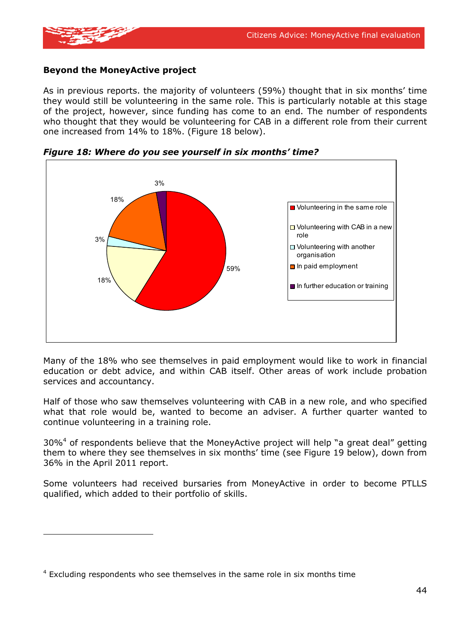![](_page_46_Picture_1.jpeg)

#### **Beyond the MoneyActive project**

As in previous reports. the majority of volunteers (59%) thought that in six months' time they would still be volunteering in the same role. This is particularly notable at this stage of the project, however, since funding has come to an end. The number of respondents who thought that they would be volunteering for CAB in a different role from their current one increased from 14% to 18%. (Figure 18 below).

![](_page_46_Figure_4.jpeg)

*Figure 18: Where do you see yourself in six months' time?* 

Many of the 18% who see themselves in paid employment would like to work in financial education or debt advice, and within CAB itself. Other areas of work include probation services and accountancy.

Half of those who saw themselves volunteering with CAB in a new role, and who specified what that role would be, wanted to become an adviser. A further quarter wanted to continue volunteering in a training role.

 $30\%$ <sup>4</sup> of respondents believe that the MoneyActive project will help "a great deal" getting them to where they see themselves in six months' time (see Figure 19 below), down from 36% in the April 2011 report.

Some volunteers had received bursaries from MoneyActive in order to become PTLLS qualified, which added to their portfolio of skills.

 $4$  Excluding respondents who see themselves in the same role in six months time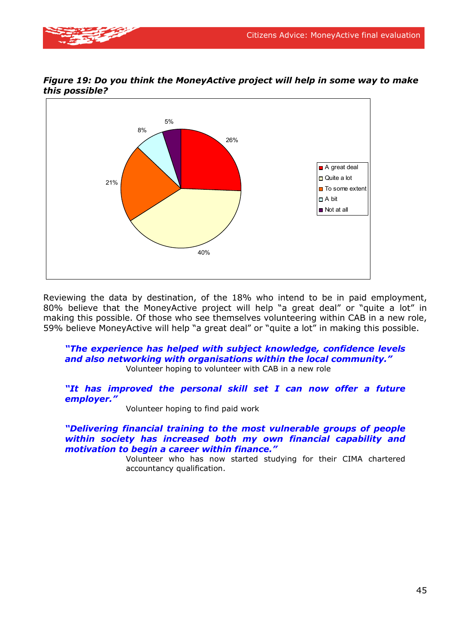![](_page_47_Picture_1.jpeg)

![](_page_47_Figure_2.jpeg)

*Figure 19: Do you think the MoneyActive project will help in some way to make this possible?* 

Reviewing the data by destination, of the 18% who intend to be in paid employment, 80% believe that the MoneyActive project will help "a great deal" or "quite a lot" in making this possible. Of those who see themselves volunteering within CAB in a new role, 59% believe MoneyActive will help "a great deal" or "quite a lot" in making this possible.

#### *"The experience has helped with subject knowledge, confidence levels and also networking with organisations within the local community."*  Volunteer hoping to volunteer with CAB in a new role

*"It has improved the personal skill set I can now offer a future employer."* 

Volunteer hoping to find paid work

#### *"Delivering financial training to the most vulnerable groups of people within society has increased both my own financial capability and motivation to begin a career within finance."*

Volunteer who has now started studying for their CIMA chartered accountancy qualification.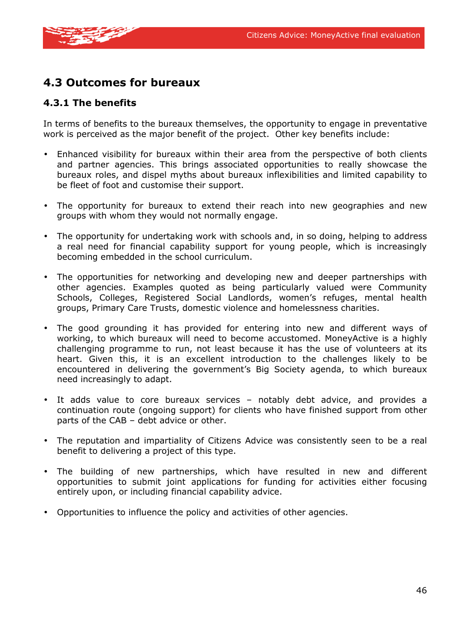![](_page_48_Picture_1.jpeg)

### **4.3 Outcomes for bureaux**

#### **4.3.1 The benefits**

In terms of benefits to the bureaux themselves, the opportunity to engage in preventative work is perceived as the major benefit of the project. Other key benefits include:

- Enhanced visibility for bureaux within their area from the perspective of both clients and partner agencies. This brings associated opportunities to really showcase the bureaux roles, and dispel myths about bureaux inflexibilities and limited capability to be fleet of foot and customise their support.
- The opportunity for bureaux to extend their reach into new geographies and new groups with whom they would not normally engage.
- The opportunity for undertaking work with schools and, in so doing, helping to address a real need for financial capability support for young people, which is increasingly becoming embedded in the school curriculum.
- The opportunities for networking and developing new and deeper partnerships with other agencies. Examples quoted as being particularly valued were Community Schools, Colleges, Registered Social Landlords, women's refuges, mental health groups, Primary Care Trusts, domestic violence and homelessness charities.
- The good grounding it has provided for entering into new and different ways of working, to which bureaux will need to become accustomed. MoneyActive is a highly challenging programme to run, not least because it has the use of volunteers at its heart. Given this, it is an excellent introduction to the challenges likely to be encountered in delivering the government's Big Society agenda, to which bureaux need increasingly to adapt.
- It adds value to core bureaux services notably debt advice, and provides a continuation route (ongoing support) for clients who have finished support from other parts of the CAB – debt advice or other.
- The reputation and impartiality of Citizens Advice was consistently seen to be a real benefit to delivering a project of this type.
- The building of new partnerships, which have resulted in new and different opportunities to submit joint applications for funding for activities either focusing entirely upon, or including financial capability advice.
- Opportunities to influence the policy and activities of other agencies.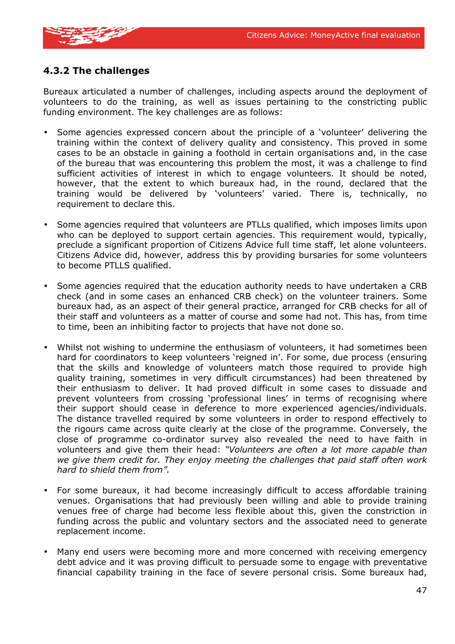![](_page_49_Picture_1.jpeg)

#### **4.3.2 The challenges**

Bureaux articulated a number of challenges, including aspects around the deployment of volunteers to do the training, as well as issues pertaining to the constricting public funding environment. The key challenges are as follows:

- Some agencies expressed concern about the principle of a 'volunteer' delivering the training within the context of delivery quality and consistency. This proved in some cases to be an obstacle in gaining a foothold in certain organisations and, in the case of the bureau that was encountering this problem the most, it was a challenge to find sufficient activities of interest in which to engage volunteers. It should be noted, however, that the extent to which bureaux had, in the round, declared that the training would be delivered by 'volunteers' varied. There is, technically, no requirement to declare this.
- Some agencies required that volunteers are PTLLs qualified, which imposes limits upon who can be deployed to support certain agencies. This requirement would, typically, preclude a significant proportion of Citizens Advice full time staff, let alone volunteers. Citizens Advice did, however, address this by providing bursaries for some volunteers to become PTLLS qualified.
- Some agencies required that the education authority needs to have undertaken a CRB check (and in some cases an enhanced CRB check) on the volunteer trainers. Some bureaux had, as an aspect of their general practice, arranged for CRB checks for all of their staff and volunteers as a matter of course and some had not. This has, from time to time, been an inhibiting factor to projects that have not done so.
- Whilst not wishing to undermine the enthusiasm of volunteers, it had sometimes been hard for coordinators to keep volunteers 'reigned in'. For some, due process (ensuring that the skills and knowledge of volunteers match those required to provide high quality training, sometimes in very difficult circumstances) had been threatened by their enthusiasm to deliver. It had proved difficult in some cases to dissuade and prevent volunteers from crossing 'professional lines' in terms of recognising where their support should cease in deference to more experienced agencies/individuals. The distance travelled required by some volunteers in order to respond effectively to the rigours came across quite clearly at the close of the programme. Conversely, the close of programme co-ordinator survey also revealed the need to have faith in volunteers and give them their head: *"Volunteers are often a lot more capable than we give them credit for. They enjoy meeting the challenges that paid staff often work hard to shield them from".*
- For some bureaux, it had become increasingly difficult to access affordable training venues. Organisations that had previously been willing and able to provide training venues free of charge had become less flexible about this, given the constriction in funding across the public and voluntary sectors and the associated need to generate replacement income.
- Many end users were becoming more and more concerned with receiving emergency debt advice and it was proving difficult to persuade some to engage with preventative financial capability training in the face of severe personal crisis. Some bureaux had,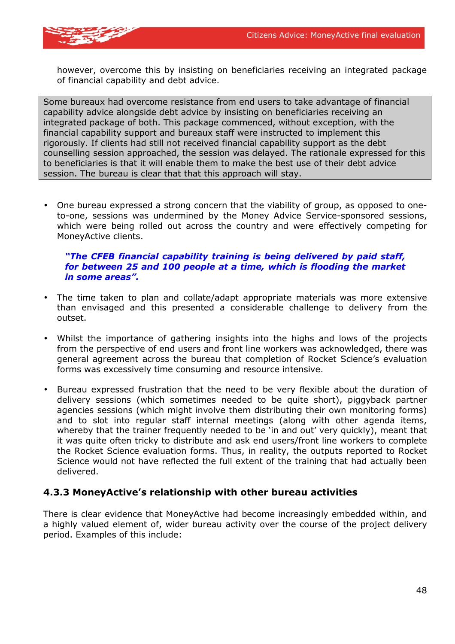![](_page_50_Picture_1.jpeg)

however, overcome this by insisting on beneficiaries receiving an integrated package of financial capability and debt advice.

Some bureaux had overcome resistance from end users to take advantage of financial capability advice alongside debt advice by insisting on beneficiaries receiving an integrated package of both. This package commenced, without exception, with the financial capability support and bureaux staff were instructed to implement this rigorously. If clients had still not received financial capability support as the debt counselling session approached, the session was delayed. The rationale expressed for this to beneficiaries is that it will enable them to make the best use of their debt advice session. The bureau is clear that that this approach will stay.

• One bureau expressed a strong concern that the viability of group, as opposed to oneto-one, sessions was undermined by the Money Advice Service-sponsored sessions, which were being rolled out across the country and were effectively competing for MoneyActive clients.

#### *"The CFEB financial capability training is being delivered by paid staff, for between 25 and 100 people at a time, which is flooding the market in some areas".*

- The time taken to plan and collate/adapt appropriate materials was more extensive than envisaged and this presented a considerable challenge to delivery from the outset.
- Whilst the importance of gathering insights into the highs and lows of the projects from the perspective of end users and front line workers was acknowledged, there was general agreement across the bureau that completion of Rocket Science's evaluation forms was excessively time consuming and resource intensive.
- Bureau expressed frustration that the need to be very flexible about the duration of delivery sessions (which sometimes needed to be quite short), piggyback partner agencies sessions (which might involve them distributing their own monitoring forms) and to slot into regular staff internal meetings (along with other agenda items, whereby that the trainer frequently needed to be 'in and out' very quickly), meant that it was quite often tricky to distribute and ask end users/front line workers to complete the Rocket Science evaluation forms. Thus, in reality, the outputs reported to Rocket Science would not have reflected the full extent of the training that had actually been delivered.

#### **4.3.3 MoneyActive's relationship with other bureau activities**

There is clear evidence that MoneyActive had become increasingly embedded within, and a highly valued element of, wider bureau activity over the course of the project delivery period. Examples of this include: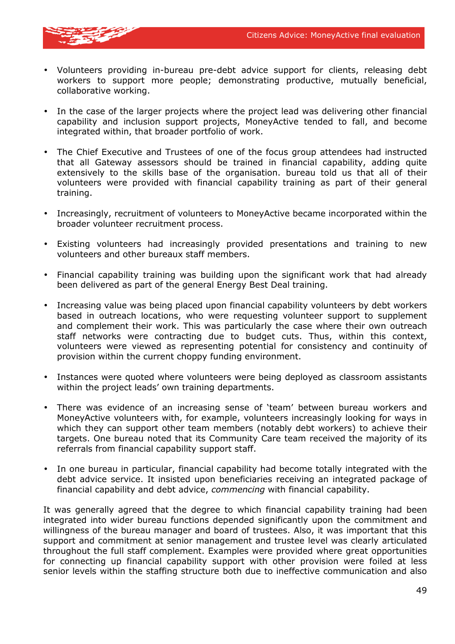![](_page_51_Picture_1.jpeg)

- Volunteers providing in-bureau pre-debt advice support for clients, releasing debt workers to support more people; demonstrating productive, mutually beneficial, collaborative working.
- In the case of the larger projects where the project lead was delivering other financial capability and inclusion support projects, MoneyActive tended to fall, and become integrated within, that broader portfolio of work.
- The Chief Executive and Trustees of one of the focus group attendees had instructed that all Gateway assessors should be trained in financial capability, adding quite extensively to the skills base of the organisation. bureau told us that all of their volunteers were provided with financial capability training as part of their general training.
- Increasingly, recruitment of volunteers to MoneyActive became incorporated within the broader volunteer recruitment process.
- Existing volunteers had increasingly provided presentations and training to new volunteers and other bureaux staff members.
- Financial capability training was building upon the significant work that had already been delivered as part of the general Energy Best Deal training.
- Increasing value was being placed upon financial capability volunteers by debt workers based in outreach locations, who were requesting volunteer support to supplement and complement their work. This was particularly the case where their own outreach staff networks were contracting due to budget cuts. Thus, within this context, volunteers were viewed as representing potential for consistency and continuity of provision within the current choppy funding environment.
- Instances were quoted where volunteers were being deployed as classroom assistants within the project leads' own training departments.
- There was evidence of an increasing sense of 'team' between bureau workers and MoneyActive volunteers with, for example, volunteers increasingly looking for ways in which they can support other team members (notably debt workers) to achieve their targets. One bureau noted that its Community Care team received the majority of its referrals from financial capability support staff.
- In one bureau in particular, financial capability had become totally integrated with the debt advice service. It insisted upon beneficiaries receiving an integrated package of financial capability and debt advice, *commencing* with financial capability.

It was generally agreed that the degree to which financial capability training had been integrated into wider bureau functions depended significantly upon the commitment and willingness of the bureau manager and board of trustees. Also, it was important that this support and commitment at senior management and trustee level was clearly articulated throughout the full staff complement. Examples were provided where great opportunities for connecting up financial capability support with other provision were foiled at less senior levels within the staffing structure both due to ineffective communication and also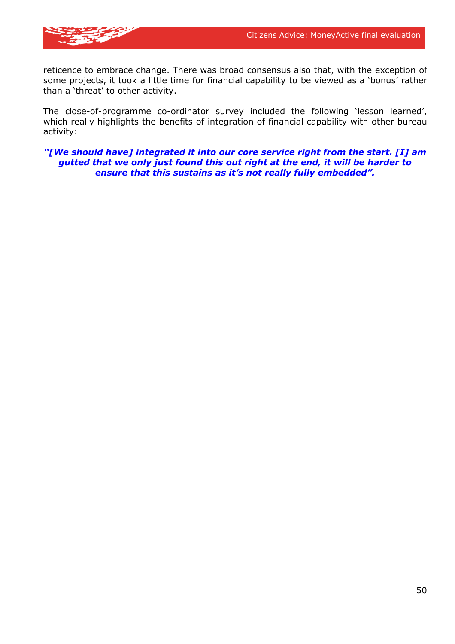![](_page_52_Picture_1.jpeg)

reticence to embrace change. There was broad consensus also that, with the exception of some projects, it took a little time for financial capability to be viewed as a 'bonus' rather than a 'threat' to other activity.

The close-of-programme co-ordinator survey included the following 'lesson learned', which really highlights the benefits of integration of financial capability with other bureau activity:

*"[We should have] integrated it into our core service right from the start. [I] am gutted that we only just found this out right at the end, it will be harder to ensure that this sustains as it's not really fully embedded".*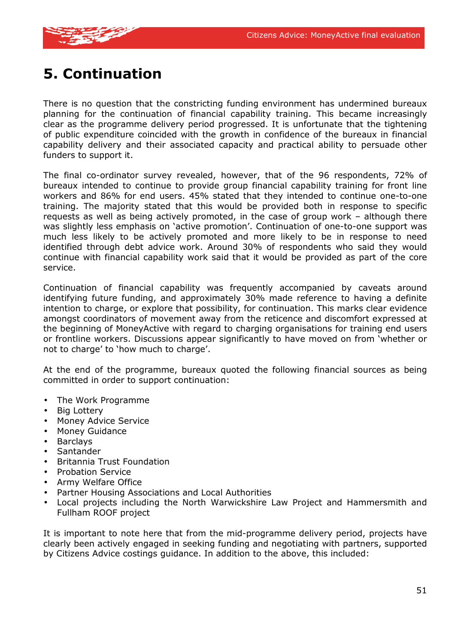![](_page_53_Picture_1.jpeg)

# **5. Continuation**

There is no question that the constricting funding environment has undermined bureaux planning for the continuation of financial capability training. This became increasingly clear as the programme delivery period progressed. It is unfortunate that the tightening of public expenditure coincided with the growth in confidence of the bureaux in financial capability delivery and their associated capacity and practical ability to persuade other funders to support it.

The final co-ordinator survey revealed, however, that of the 96 respondents, 72% of bureaux intended to continue to provide group financial capability training for front line workers and 86% for end users. 45% stated that they intended to continue one-to-one training. The majority stated that this would be provided both in response to specific requests as well as being actively promoted, in the case of group work – although there was slightly less emphasis on 'active promotion'. Continuation of one-to-one support was much less likely to be actively promoted and more likely to be in response to need identified through debt advice work. Around 30% of respondents who said they would continue with financial capability work said that it would be provided as part of the core service.

Continuation of financial capability was frequently accompanied by caveats around identifying future funding, and approximately 30% made reference to having a definite intention to charge, or explore that possibility, for continuation. This marks clear evidence amongst coordinators of movement away from the reticence and discomfort expressed at the beginning of MoneyActive with regard to charging organisations for training end users or frontline workers. Discussions appear significantly to have moved on from 'whether or not to charge' to 'how much to charge'.

At the end of the programme, bureaux quoted the following financial sources as being committed in order to support continuation:

- The Work Programme
- Big Lottery
- Money Advice Service
- Money Guidance
- Barclays
- Santander
- Britannia Trust Foundation
- Probation Service
- Army Welfare Office
- Partner Housing Associations and Local Authorities
- Local projects including the North Warwickshire Law Project and Hammersmith and Fullham ROOF project

It is important to note here that from the mid-programme delivery period, projects have clearly been actively engaged in seeking funding and negotiating with partners, supported by Citizens Advice costings guidance. In addition to the above, this included: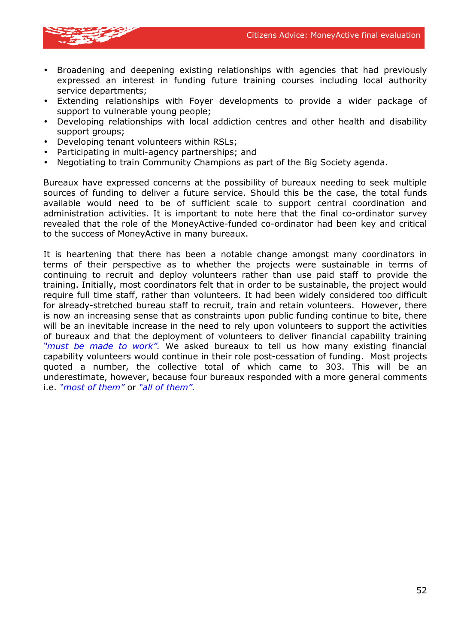![](_page_54_Picture_1.jpeg)

- Broadening and deepening existing relationships with agencies that had previously expressed an interest in funding future training courses including local authority service departments;
- Extending relationships with Foyer developments to provide a wider package of support to vulnerable young people;
- Developing relationships with local addiction centres and other health and disability support groups;
- Developing tenant volunteers within RSLs;
- Participating in multi-agency partnerships; and
- Negotiating to train Community Champions as part of the Big Society agenda.

Bureaux have expressed concerns at the possibility of bureaux needing to seek multiple sources of funding to deliver a future service. Should this be the case, the total funds available would need to be of sufficient scale to support central coordination and administration activities. It is important to note here that the final co-ordinator survey revealed that the role of the MoneyActive-funded co-ordinator had been key and critical to the success of MoneyActive in many bureaux.

It is heartening that there has been a notable change amongst many coordinators in terms of their perspective as to whether the projects were sustainable in terms of continuing to recruit and deploy volunteers rather than use paid staff to provide the training. Initially, most coordinators felt that in order to be sustainable, the project would require full time staff, rather than volunteers. It had been widely considered too difficult for already-stretched bureau staff to recruit, train and retain volunteers. However, there is now an increasing sense that as constraints upon public funding continue to bite, there will be an inevitable increase in the need to rely upon volunteers to support the activities of bureaux and that the deployment of volunteers to deliver financial capability training *"must be made to work".* We asked bureaux to tell us how many existing financial capability volunteers would continue in their role post-cessation of funding. Most projects quoted a number, the collective total of which came to 303. This will be an underestimate, however, because four bureaux responded with a more general comments i.e. *"most of them"* or *"all of them".*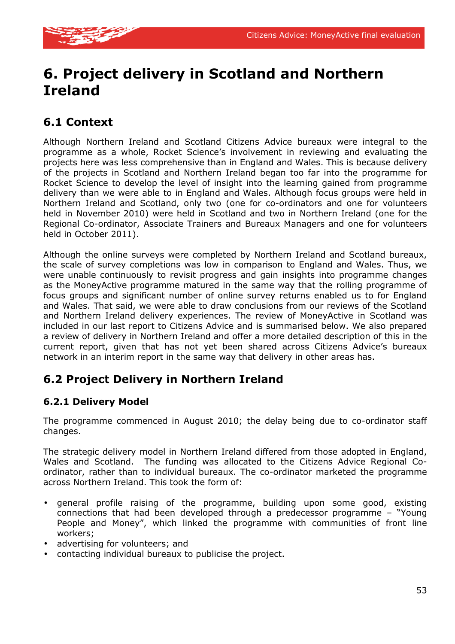![](_page_55_Picture_1.jpeg)

# **6. Project delivery in Scotland and Northern Ireland**

### **6.1 Context**

Although Northern Ireland and Scotland Citizens Advice bureaux were integral to the programme as a whole, Rocket Science's involvement in reviewing and evaluating the projects here was less comprehensive than in England and Wales. This is because delivery of the projects in Scotland and Northern Ireland began too far into the programme for Rocket Science to develop the level of insight into the learning gained from programme delivery than we were able to in England and Wales. Although focus groups were held in Northern Ireland and Scotland, only two (one for co-ordinators and one for volunteers held in November 2010) were held in Scotland and two in Northern Ireland (one for the Regional Co-ordinator, Associate Trainers and Bureaux Managers and one for volunteers held in October 2011).

Although the online surveys were completed by Northern Ireland and Scotland bureaux, the scale of survey completions was low in comparison to England and Wales. Thus, we were unable continuously to revisit progress and gain insights into programme changes as the MoneyActive programme matured in the same way that the rolling programme of focus groups and significant number of online survey returns enabled us to for England and Wales. That said, we were able to draw conclusions from our reviews of the Scotland and Northern Ireland delivery experiences. The review of MoneyActive in Scotland was included in our last report to Citizens Advice and is summarised below. We also prepared a review of delivery in Northern Ireland and offer a more detailed description of this in the current report, given that has not yet been shared across Citizens Advice's bureaux network in an interim report in the same way that delivery in other areas has.

### **6.2 Project Delivery in Northern Ireland**

#### **6.2.1 Delivery Model**

The programme commenced in August 2010; the delay being due to co-ordinator staff changes.

The strategic delivery model in Northern Ireland differed from those adopted in England, Wales and Scotland. The funding was allocated to the Citizens Advice Regional Coordinator, rather than to individual bureaux. The co-ordinator marketed the programme across Northern Ireland. This took the form of:

- general profile raising of the programme, building upon some good, existing connections that had been developed through a predecessor programme – "Young People and Money", which linked the programme with communities of front line workers;
- advertising for volunteers; and
- contacting individual bureaux to publicise the project.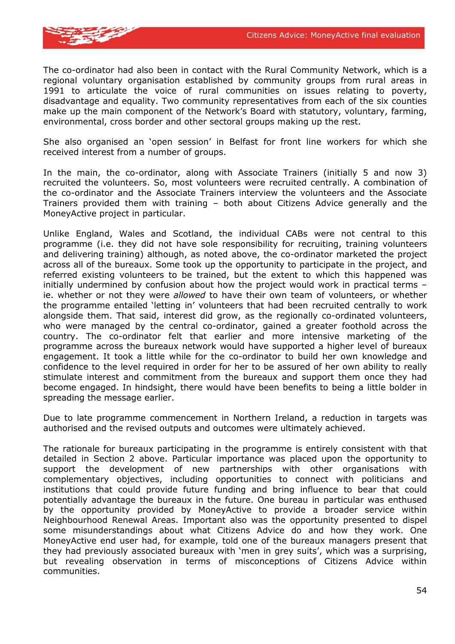![](_page_56_Picture_1.jpeg)

The co-ordinator had also been in contact with the Rural Community Network, which is a regional voluntary organisation established by community groups from rural areas in 1991 to articulate the voice of rural communities on issues relating to poverty, disadvantage and equality. Two community representatives from each of the six counties make up the main component of the Network's Board with statutory, voluntary, farming, environmental, cross border and other sectoral groups making up the rest.

She also organised an 'open session' in Belfast for front line workers for which she received interest from a number of groups.

In the main, the co-ordinator, along with Associate Trainers (initially 5 and now 3) recruited the volunteers. So, most volunteers were recruited centrally. A combination of the co-ordinator and the Associate Trainers interview the volunteers and the Associate Trainers provided them with training – both about Citizens Advice generally and the MoneyActive project in particular.

Unlike England, Wales and Scotland, the individual CABs were not central to this programme (i.e. they did not have sole responsibility for recruiting, training volunteers and delivering training) although, as noted above, the co-ordinator marketed the project across all of the bureaux. Some took up the opportunity to participate in the project, and referred existing volunteers to be trained, but the extent to which this happened was initially undermined by confusion about how the project would work in practical terms – ie. whether or not they were *allowed* to have their own team of volunteers, or whether the programme entailed 'letting in' volunteers that had been recruited centrally to work alongside them. That said, interest did grow, as the regionally co-ordinated volunteers, who were managed by the central co-ordinator, gained a greater foothold across the country. The co-ordinator felt that earlier and more intensive marketing of the programme across the bureaux network would have supported a higher level of bureaux engagement. It took a little while for the co-ordinator to build her own knowledge and confidence to the level required in order for her to be assured of her own ability to really stimulate interest and commitment from the bureaux and support them once they had become engaged. In hindsight, there would have been benefits to being a little bolder in spreading the message earlier.

Due to late programme commencement in Northern Ireland, a reduction in targets was authorised and the revised outputs and outcomes were ultimately achieved.

The rationale for bureaux participating in the programme is entirely consistent with that detailed in Section 2 above. Particular importance was placed upon the opportunity to support the development of new partnerships with other organisations with complementary objectives, including opportunities to connect with politicians and institutions that could provide future funding and bring influence to bear that could potentially advantage the bureaux in the future. One bureau in particular was enthused by the opportunity provided by MoneyActive to provide a broader service within Neighbourhood Renewal Areas. Important also was the opportunity presented to dispel some misunderstandings about what Citizens Advice do and how they work. One MoneyActive end user had, for example, told one of the bureaux managers present that they had previously associated bureaux with 'men in grey suits', which was a surprising, but revealing observation in terms of misconceptions of Citizens Advice within communities.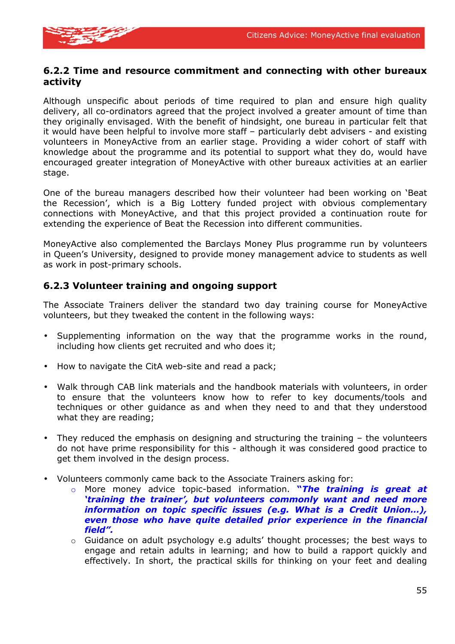![](_page_57_Picture_1.jpeg)

#### **6.2.2 Time and resource commitment and connecting with other bureaux activity**

Although unspecific about periods of time required to plan and ensure high quality delivery, all co-ordinators agreed that the project involved a greater amount of time than they originally envisaged. With the benefit of hindsight, one bureau in particular felt that it would have been helpful to involve more staff – particularly debt advisers - and existing volunteers in MoneyActive from an earlier stage. Providing a wider cohort of staff with knowledge about the programme and its potential to support what they do, would have encouraged greater integration of MoneyActive with other bureaux activities at an earlier stage.

One of the bureau managers described how their volunteer had been working on 'Beat the Recession', which is a Big Lottery funded project with obvious complementary connections with MoneyActive, and that this project provided a continuation route for extending the experience of Beat the Recession into different communities.

MoneyActive also complemented the Barclays Money Plus programme run by volunteers in Queen's University, designed to provide money management advice to students as well as work in post-primary schools.

#### **6.2.3 Volunteer training and ongoing support**

The Associate Trainers deliver the standard two day training course for MoneyActive volunteers, but they tweaked the content in the following ways:

- Supplementing information on the way that the programme works in the round, including how clients get recruited and who does it;
- How to navigate the CitA web-site and read a pack;
- Walk through CAB link materials and the handbook materials with volunteers, in order to ensure that the volunteers know how to refer to key documents/tools and techniques or other guidance as and when they need to and that they understood what they are reading;
- They reduced the emphasis on designing and structuring the training the volunteers do not have prime responsibility for this - although it was considered good practice to get them involved in the design process.
- Volunteers commonly came back to the Associate Trainers asking for:
	- o More money advice topic-based information. **"***The training is great at 'training the trainer', but volunteers commonly want and need more information on topic specific issues (e.g. What is a Credit Union…), even those who have quite detailed prior experience in the financial field".*
	- $\circ$  Guidance on adult psychology e.g adults' thought processes; the best ways to engage and retain adults in learning; and how to build a rapport quickly and effectively. In short, the practical skills for thinking on your feet and dealing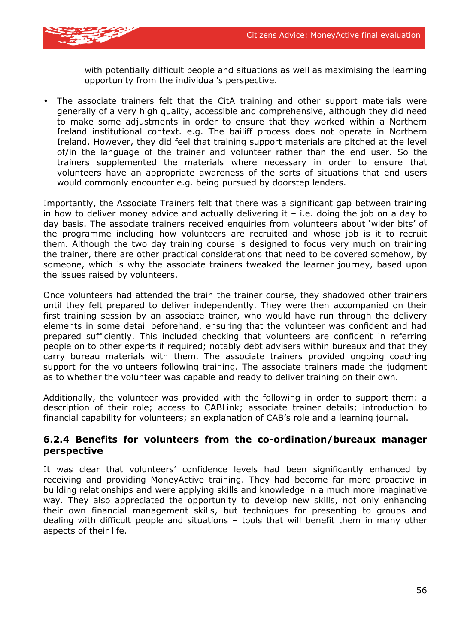![](_page_58_Picture_1.jpeg)

with potentially difficult people and situations as well as maximising the learning opportunity from the individual's perspective.

• The associate trainers felt that the CitA training and other support materials were generally of a very high quality, accessible and comprehensive, although they did need to make some adjustments in order to ensure that they worked within a Northern Ireland institutional context. e.g. The bailiff process does not operate in Northern Ireland. However, they did feel that training support materials are pitched at the level of/in the language of the trainer and volunteer rather than the end user. So the trainers supplemented the materials where necessary in order to ensure that volunteers have an appropriate awareness of the sorts of situations that end users would commonly encounter e.g. being pursued by doorstep lenders.

Importantly, the Associate Trainers felt that there was a significant gap between training in how to deliver money advice and actually delivering it  $-$  i.e. doing the job on a day to day basis. The associate trainers received enquiries from volunteers about 'wider bits' of the programme including how volunteers are recruited and whose job is it to recruit them. Although the two day training course is designed to focus very much on training the trainer, there are other practical considerations that need to be covered somehow, by someone, which is why the associate trainers tweaked the learner journey, based upon the issues raised by volunteers.

Once volunteers had attended the train the trainer course, they shadowed other trainers until they felt prepared to deliver independently. They were then accompanied on their first training session by an associate trainer, who would have run through the delivery elements in some detail beforehand, ensuring that the volunteer was confident and had prepared sufficiently. This included checking that volunteers are confident in referring people on to other experts if required; notably debt advisers within bureaux and that they carry bureau materials with them. The associate trainers provided ongoing coaching support for the volunteers following training. The associate trainers made the judgment as to whether the volunteer was capable and ready to deliver training on their own.

Additionally, the volunteer was provided with the following in order to support them: a description of their role; access to CABLink; associate trainer details; introduction to financial capability for volunteers; an explanation of CAB's role and a learning journal.

#### **6.2.4 Benefits for volunteers from the co-ordination/bureaux manager perspective**

It was clear that volunteers' confidence levels had been significantly enhanced by receiving and providing MoneyActive training. They had become far more proactive in building relationships and were applying skills and knowledge in a much more imaginative way. They also appreciated the opportunity to develop new skills, not only enhancing their own financial management skills, but techniques for presenting to groups and dealing with difficult people and situations – tools that will benefit them in many other aspects of their life.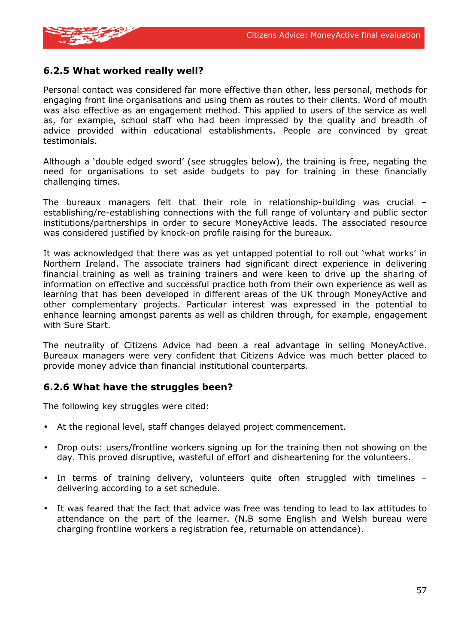![](_page_59_Picture_1.jpeg)

#### **6.2.5 What worked really well?**

Personal contact was considered far more effective than other, less personal, methods for engaging front line organisations and using them as routes to their clients. Word of mouth was also effective as an engagement method. This applied to users of the service as well as, for example, school staff who had been impressed by the quality and breadth of advice provided within educational establishments. People are convinced by great testimonials.

Although a 'double edged sword' (see struggles below), the training is free, negating the need for organisations to set aside budgets to pay for training in these financially challenging times.

The bureaux managers felt that their role in relationship-building was crucial – establishing/re-establishing connections with the full range of voluntary and public sector institutions/partnerships in order to secure MoneyActive leads. The associated resource was considered justified by knock-on profile raising for the bureaux.

It was acknowledged that there was as yet untapped potential to roll out 'what works' in Northern Ireland. The associate trainers had significant direct experience in delivering financial training as well as training trainers and were keen to drive up the sharing of information on effective and successful practice both from their own experience as well as learning that has been developed in different areas of the UK through MoneyActive and other complementary projects. Particular interest was expressed in the potential to enhance learning amongst parents as well as children through, for example, engagement with Sure Start.

The neutrality of Citizens Advice had been a real advantage in selling MoneyActive. Bureaux managers were very confident that Citizens Advice was much better placed to provide money advice than financial institutional counterparts.

#### **6.2.6 What have the struggles been?**

The following key struggles were cited:

- At the regional level, staff changes delayed project commencement.
- Drop outs: users/frontline workers signing up for the training then not showing on the day. This proved disruptive, wasteful of effort and disheartening for the volunteers.
- In terms of training delivery, volunteers quite often struggled with timelines delivering according to a set schedule.
- It was feared that the fact that advice was free was tending to lead to lax attitudes to attendance on the part of the learner. (N.B some English and Welsh bureau were charging frontline workers a registration fee, returnable on attendance).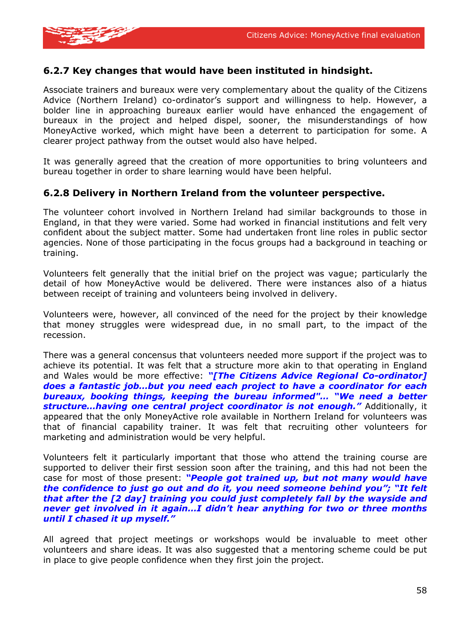![](_page_60_Picture_1.jpeg)

#### **6.2.7 Key changes that would have been instituted in hindsight.**

Associate trainers and bureaux were very complementary about the quality of the Citizens Advice (Northern Ireland) co-ordinator's support and willingness to help. However, a bolder line in approaching bureaux earlier would have enhanced the engagement of bureaux in the project and helped dispel, sooner, the misunderstandings of how MoneyActive worked, which might have been a deterrent to participation for some. A clearer project pathway from the outset would also have helped.

It was generally agreed that the creation of more opportunities to bring volunteers and bureau together in order to share learning would have been helpful.

#### **6.2.8 Delivery in Northern Ireland from the volunteer perspective.**

The volunteer cohort involved in Northern Ireland had similar backgrounds to those in England, in that they were varied. Some had worked in financial institutions and felt very confident about the subject matter. Some had undertaken front line roles in public sector agencies. None of those participating in the focus groups had a background in teaching or training.

Volunteers felt generally that the initial brief on the project was vague; particularly the detail of how MoneyActive would be delivered. There were instances also of a hiatus between receipt of training and volunteers being involved in delivery.

Volunteers were, however, all convinced of the need for the project by their knowledge that money struggles were widespread due, in no small part, to the impact of the recession.

There was a general concensus that volunteers needed more support if the project was to achieve its potential. It was felt that a structure more akin to that operating in England and Wales would be more effective: *"[The Citizens Advice Regional Co-ordinator] does a fantastic job…but you need each project to have a coordinator for each bureaux, booking things, keeping the bureau informed"… "We need a better structure…having one central project coordinator is not enough."* Additionally, it appeared that the only MoneyActive role available in Northern Ireland for volunteers was that of financial capability trainer. It was felt that recruiting other volunteers for marketing and administration would be very helpful.

Volunteers felt it particularly important that those who attend the training course are supported to deliver their first session soon after the training, and this had not been the case for most of those present: *"People got trained up, but not many would have the confidence to just go out and do it, you need someone behind you"; "It felt that after the [2 day] training you could just completely fall by the wayside and never get involved in it again…I didn't hear anything for two or three months until I chased it up myself."*

All agreed that project meetings or workshops would be invaluable to meet other volunteers and share ideas. It was also suggested that a mentoring scheme could be put in place to give people confidence when they first join the project.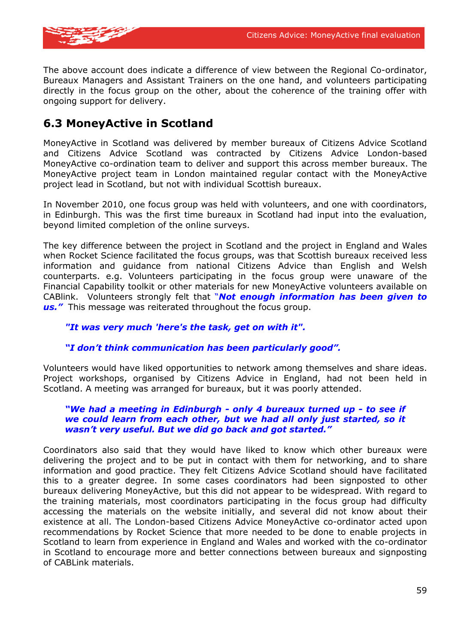![](_page_61_Picture_1.jpeg)

The above account does indicate a difference of view between the Regional Co-ordinator, Bureaux Managers and Assistant Trainers on the one hand, and volunteers participating directly in the focus group on the other, about the coherence of the training offer with ongoing support for delivery.

### **6.3 MoneyActive in Scotland**

MoneyActive in Scotland was delivered by member bureaux of Citizens Advice Scotland and Citizens Advice Scotland was contracted by Citizens Advice London-based MoneyActive co-ordination team to deliver and support this across member bureaux. The MoneyActive project team in London maintained regular contact with the MoneyActive project lead in Scotland, but not with individual Scottish bureaux.

In November 2010, one focus group was held with volunteers, and one with coordinators, in Edinburgh. This was the first time bureaux in Scotland had input into the evaluation, beyond limited completion of the online surveys.

The key difference between the project in Scotland and the project in England and Wales when Rocket Science facilitated the focus groups, was that Scottish bureaux received less information and guidance from national Citizens Advice than English and Welsh counterparts. e.g. Volunteers participating in the focus group were unaware of the Financial Capability toolkit or other materials for new MoneyActive volunteers available on CABlink. Volunteers strongly felt that "*Not enough information has been given to us."* This message was reiterated throughout the focus group.

#### *"It was very much 'here's the task, get on with it".*

#### *"I don't think communication has been particularly good".*

Volunteers would have liked opportunities to network among themselves and share ideas. Project workshops, organised by Citizens Advice in England, had not been held in Scotland. A meeting was arranged for bureaux, but it was poorly attended.

#### *"We had a meeting in Edinburgh - only 4 bureaux turned up - to see if we could learn from each other, but we had all only just started, so it wasn't very useful. But we did go back and got started."*

Coordinators also said that they would have liked to know which other bureaux were delivering the project and to be put in contact with them for networking, and to share information and good practice. They felt Citizens Advice Scotland should have facilitated this to a greater degree. In some cases coordinators had been signposted to other bureaux delivering MoneyActive, but this did not appear to be widespread. With regard to the training materials, most coordinators participating in the focus group had difficulty accessing the materials on the website initially, and several did not know about their existence at all. The London-based Citizens Advice MoneyActive co-ordinator acted upon recommendations by Rocket Science that more needed to be done to enable projects in Scotland to learn from experience in England and Wales and worked with the co-ordinator in Scotland to encourage more and better connections between bureaux and signposting of CABLink materials.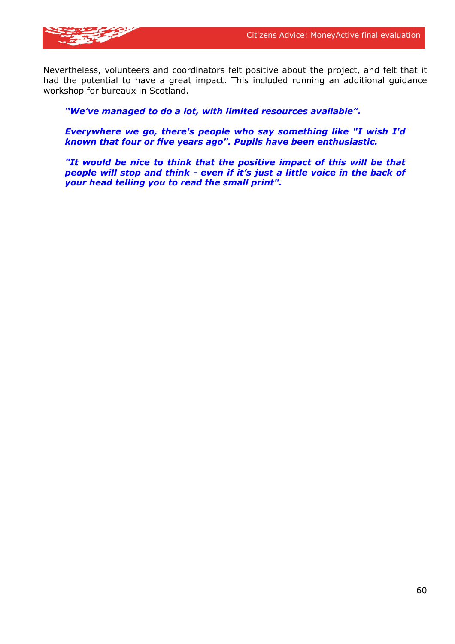![](_page_62_Picture_1.jpeg)

Nevertheless, volunteers and coordinators felt positive about the project, and felt that it had the potential to have a great impact. This included running an additional guidance workshop for bureaux in Scotland.

*"We've managed to do a lot, with limited resources available".*

*Everywhere we go, there's people who say something like "I wish I'd known that four or five years ago". Pupils have been enthusiastic.* 

*"It would be nice to think that the positive impact of this will be that people will stop and think - even if it's just a little voice in the back of your head telling you to read the small print".*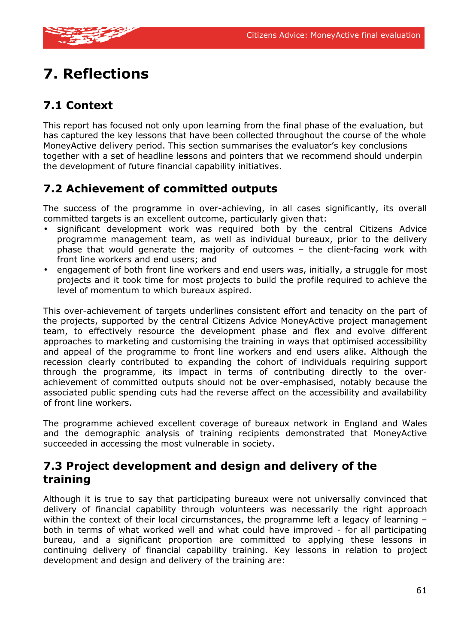![](_page_63_Picture_1.jpeg)

# **7. Reflections**

### **7.1 Context**

This report has focused not only upon learning from the final phase of the evaluation, but has captured the key lessons that have been collected throughout the course of the whole MoneyActive delivery period. This section summarises the evaluator's key conclusions together with a set of headline le**s**sons and pointers that we recommend should underpin the development of future financial capability initiatives.

### **7.2 Achievement of committed outputs**

The success of the programme in over-achieving, in all cases significantly, its overall committed targets is an excellent outcome, particularly given that:

- significant development work was required both by the central Citizens Advice programme management team, as well as individual bureaux, prior to the delivery phase that would generate the majority of outcomes – the client-facing work with front line workers and end users; and
- engagement of both front line workers and end users was, initially, a struggle for most projects and it took time for most projects to build the profile required to achieve the level of momentum to which bureaux aspired.

This over-achievement of targets underlines consistent effort and tenacity on the part of the projects, supported by the central Citizens Advice MoneyActive project management team, to effectively resource the development phase and flex and evolve different approaches to marketing and customising the training in ways that optimised accessibility and appeal of the programme to front line workers and end users alike. Although the recession clearly contributed to expanding the cohort of individuals requiring support through the programme, its impact in terms of contributing directly to the overachievement of committed outputs should not be over-emphasised, notably because the associated public spending cuts had the reverse affect on the accessibility and availability of front line workers.

The programme achieved excellent coverage of bureaux network in England and Wales and the demographic analysis of training recipients demonstrated that MoneyActive succeeded in accessing the most vulnerable in society.

### **7.3 Project development and design and delivery of the training**

Although it is true to say that participating bureaux were not universally convinced that delivery of financial capability through volunteers was necessarily the right approach within the context of their local circumstances, the programme left a legacy of learning both in terms of what worked well and what could have improved - for all participating bureau, and a significant proportion are committed to applying these lessons in continuing delivery of financial capability training. Key lessons in relation to project development and design and delivery of the training are: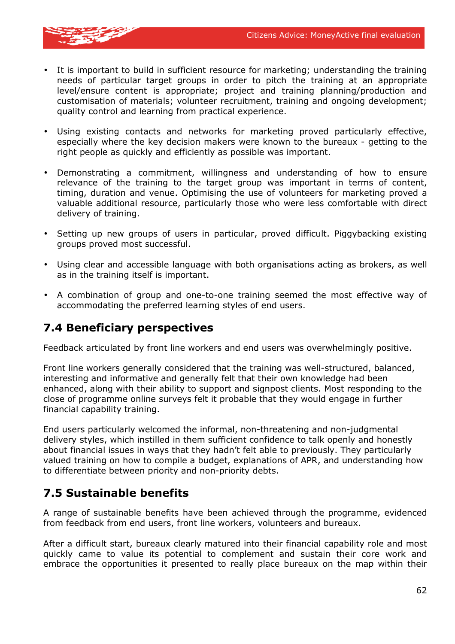![](_page_64_Picture_1.jpeg)

- It is important to build in sufficient resource for marketing; understanding the training needs of particular target groups in order to pitch the training at an appropriate level/ensure content is appropriate; project and training planning/production and customisation of materials; volunteer recruitment, training and ongoing development; quality control and learning from practical experience.
- Using existing contacts and networks for marketing proved particularly effective, especially where the key decision makers were known to the bureaux - getting to the right people as quickly and efficiently as possible was important.
- Demonstrating a commitment, willingness and understanding of how to ensure relevance of the training to the target group was important in terms of content, timing, duration and venue. Optimising the use of volunteers for marketing proved a valuable additional resource, particularly those who were less comfortable with direct delivery of training.
- Setting up new groups of users in particular, proved difficult. Piggybacking existing groups proved most successful.
- Using clear and accessible language with both organisations acting as brokers, as well as in the training itself is important.
- A combination of group and one-to-one training seemed the most effective way of accommodating the preferred learning styles of end users.

### **7.4 Beneficiary perspectives**

Feedback articulated by front line workers and end users was overwhelmingly positive.

Front line workers generally considered that the training was well-structured, balanced, interesting and informative and generally felt that their own knowledge had been enhanced, along with their ability to support and signpost clients. Most responding to the close of programme online surveys felt it probable that they would engage in further financial capability training.

End users particularly welcomed the informal, non-threatening and non-judgmental delivery styles, which instilled in them sufficient confidence to talk openly and honestly about financial issues in ways that they hadn't felt able to previously. They particularly valued training on how to compile a budget, explanations of APR, and understanding how to differentiate between priority and non-priority debts.

### **7.5 Sustainable benefits**

A range of sustainable benefits have been achieved through the programme, evidenced from feedback from end users, front line workers, volunteers and bureaux.

After a difficult start, bureaux clearly matured into their financial capability role and most quickly came to value its potential to complement and sustain their core work and embrace the opportunities it presented to really place bureaux on the map within their